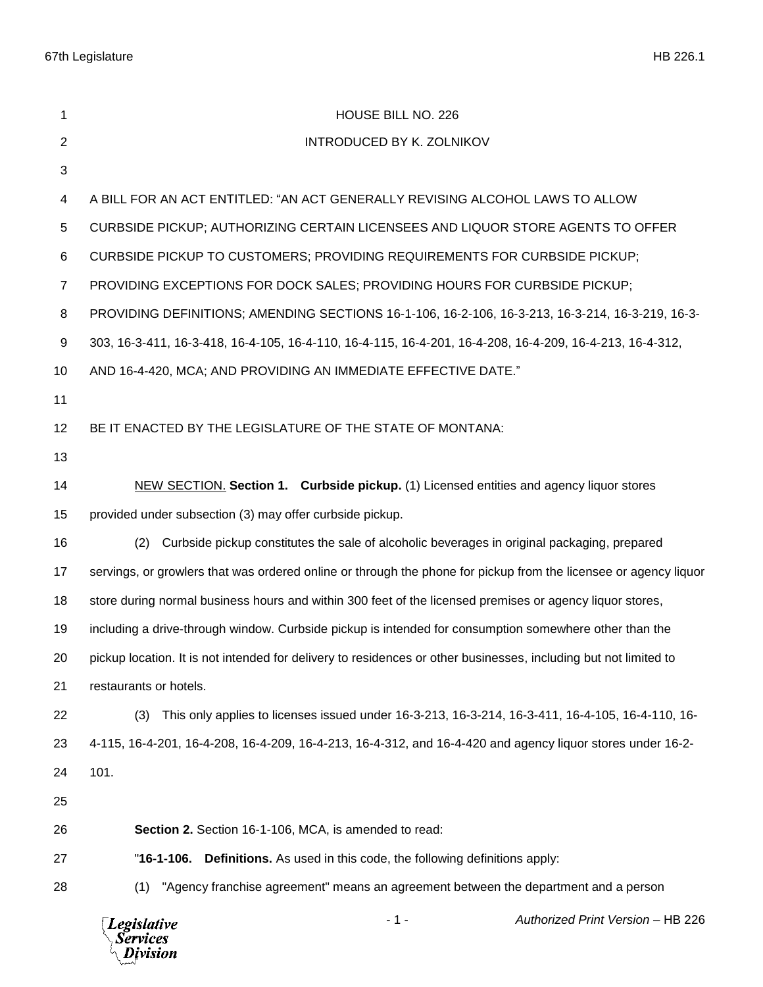| 1                 | HOUSE BILL NO. 226                                                                                               |
|-------------------|------------------------------------------------------------------------------------------------------------------|
| $\overline{2}$    | INTRODUCED BY K. ZOLNIKOV                                                                                        |
| 3                 |                                                                                                                  |
| 4                 | A BILL FOR AN ACT ENTITLED: "AN ACT GENERALLY REVISING ALCOHOL LAWS TO ALLOW                                     |
| 5                 | CURBSIDE PICKUP; AUTHORIZING CERTAIN LICENSEES AND LIQUOR STORE AGENTS TO OFFER                                  |
| 6                 | CURBSIDE PICKUP TO CUSTOMERS; PROVIDING REQUIREMENTS FOR CURBSIDE PICKUP;                                        |
| $\overline{7}$    | PROVIDING EXCEPTIONS FOR DOCK SALES; PROVIDING HOURS FOR CURBSIDE PICKUP;                                        |
| 8                 | PROVIDING DEFINITIONS; AMENDING SECTIONS 16-1-106, 16-2-106, 16-3-213, 16-3-214, 16-3-219, 16-3-                 |
| 9                 | 303, 16-3-411, 16-3-418, 16-4-105, 16-4-110, 16-4-115, 16-4-201, 16-4-208, 16-4-209, 16-4-213, 16-4-312,         |
| 10                | AND 16-4-420, MCA; AND PROVIDING AN IMMEDIATE EFFECTIVE DATE."                                                   |
| 11                |                                                                                                                  |
| $12 \overline{ }$ | BE IT ENACTED BY THE LEGISLATURE OF THE STATE OF MONTANA:                                                        |
| 13                |                                                                                                                  |
| 14                | NEW SECTION. Section 1. Curbside pickup. (1) Licensed entities and agency liquor stores                          |
| 15                | provided under subsection (3) may offer curbside pickup.                                                         |
| 16                | Curbside pickup constitutes the sale of alcoholic beverages in original packaging, prepared<br>(2)               |
| 17                | servings, or growlers that was ordered online or through the phone for pickup from the licensee or agency liquor |
| 18                | store during normal business hours and within 300 feet of the licensed premises or agency liquor stores,         |
| 19                | including a drive-through window. Curbside pickup is intended for consumption somewhere other than the           |
| 20                | pickup location. It is not intended for delivery to residences or other businesses, including but not limited to |
| 21                | restaurants or hotels.                                                                                           |
| 22                | This only applies to licenses issued under 16-3-213, 16-3-214, 16-3-411, 16-4-105, 16-4-110, 16-<br>(3)          |
| 23                | 4-115, 16-4-201, 16-4-208, 16-4-209, 16-4-213, 16-4-312, and 16-4-420 and agency liquor stores under 16-2-       |
| 24                | 101.                                                                                                             |
| 25                |                                                                                                                  |
| 26                | Section 2. Section 16-1-106, MCA, is amended to read:                                                            |
| 27                | $"16-1-106.$<br><b>Definitions.</b> As used in this code, the following definitions apply:                       |
| 28                | "Agency franchise agreement" means an agreement between the department and a person<br>(1)                       |
|                   | $-1-$<br>Authorized Print Version - HB 226<br><b>Legislative</b><br>Services<br>ivision                          |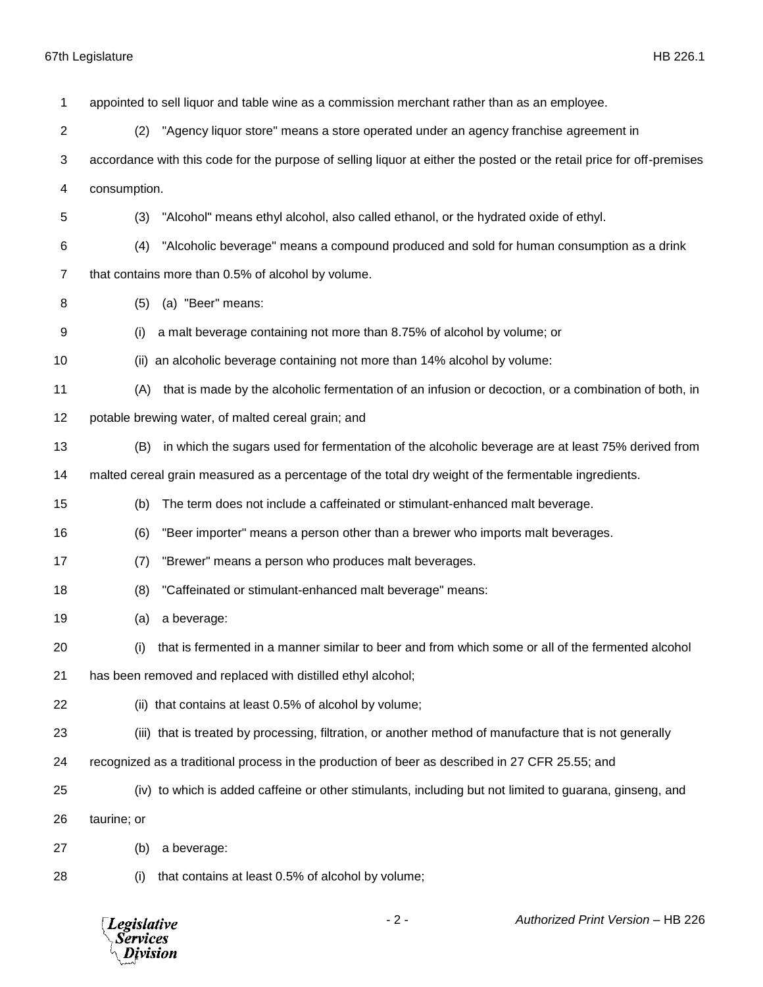| 1              | appointed to sell liquor and table wine as a commission merchant rather than as an employee.                          |
|----------------|-----------------------------------------------------------------------------------------------------------------------|
| 2              | "Agency liquor store" means a store operated under an agency franchise agreement in<br>(2)                            |
| 3              | accordance with this code for the purpose of selling liquor at either the posted or the retail price for off-premises |
| 4              | consumption.                                                                                                          |
| 5              | "Alcohol" means ethyl alcohol, also called ethanol, or the hydrated oxide of ethyl.<br>(3)                            |
| 6              | "Alcoholic beverage" means a compound produced and sold for human consumption as a drink<br>(4)                       |
| $\overline{7}$ | that contains more than 0.5% of alcohol by volume.                                                                    |
| 8              | (a) "Beer" means:<br>(5)                                                                                              |
| 9              | a malt beverage containing not more than 8.75% of alcohol by volume; or<br>(i)                                        |
| 10             | an alcoholic beverage containing not more than 14% alcohol by volume:<br>(ii)                                         |
| 11             | that is made by the alcoholic fermentation of an infusion or decoction, or a combination of both, in<br>(A)           |
| 12             | potable brewing water, of malted cereal grain; and                                                                    |
| 13             | in which the sugars used for fermentation of the alcoholic beverage are at least 75% derived from<br>(B)              |
| 14             | malted cereal grain measured as a percentage of the total dry weight of the fermentable ingredients.                  |
| 15             | The term does not include a caffeinated or stimulant-enhanced malt beverage.<br>(b)                                   |
| 16             | (6)<br>"Beer importer" means a person other than a brewer who imports malt beverages.                                 |
| 17             | "Brewer" means a person who produces malt beverages.<br>(7)                                                           |
| 18             | "Caffeinated or stimulant-enhanced malt beverage" means:<br>(8)                                                       |
| 19             | a beverage:<br>(a)                                                                                                    |
| 20             | (i) that is fermented in a manner similar to beer and from which some or all of the fermented alcohol                 |
| 21             | has been removed and replaced with distilled ethyl alcohol;                                                           |
| 22             | (ii) that contains at least 0.5% of alcohol by volume;                                                                |
| 23             | (iii) that is treated by processing, filtration, or another method of manufacture that is not generally               |
| 24             | recognized as a traditional process in the production of beer as described in 27 CFR 25.55; and                       |
| 25             | (iv) to which is added caffeine or other stimulants, including but not limited to guarana, ginseng, and               |
| 26             | taurine; or                                                                                                           |
| 27             | a beverage:<br>(b)                                                                                                    |
| 28             | that contains at least 0.5% of alcohol by volume;<br>(i)                                                              |
|                |                                                                                                                       |

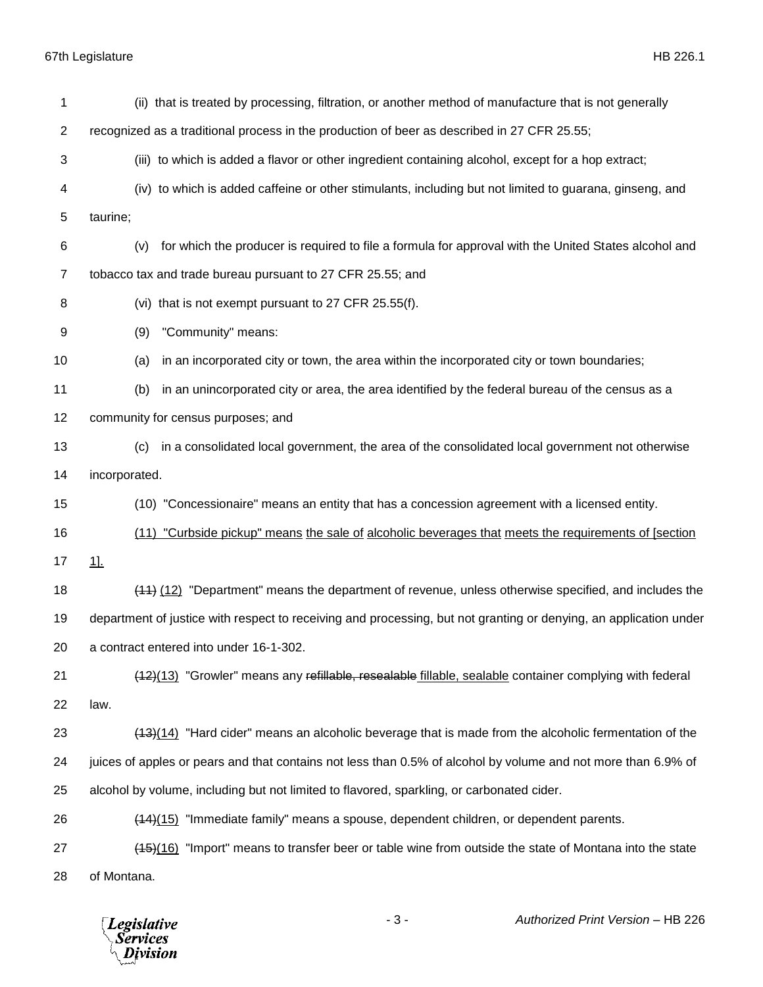| 1              | (ii) that is treated by processing, filtration, or another method of manufacture that is not generally            |
|----------------|-------------------------------------------------------------------------------------------------------------------|
| $\overline{2}$ | recognized as a traditional process in the production of beer as described in 27 CFR 25.55;                       |
| 3              | (iii) to which is added a flavor or other ingredient containing alcohol, except for a hop extract;                |
| 4              | (iv) to which is added caffeine or other stimulants, including but not limited to guarana, ginseng, and           |
| 5              | taurine;                                                                                                          |
| 6              | for which the producer is required to file a formula for approval with the United States alcohol and<br>(v)       |
| $\overline{7}$ | tobacco tax and trade bureau pursuant to 27 CFR 25.55; and                                                        |
| 8              | (vi) that is not exempt pursuant to 27 CFR 25.55(f).                                                              |
| 9              | "Community" means:<br>(9)                                                                                         |
| 10             | in an incorporated city or town, the area within the incorporated city or town boundaries;<br>(a)                 |
| 11             | in an unincorporated city or area, the area identified by the federal bureau of the census as a<br>(b)            |
| 12             | community for census purposes; and                                                                                |
| 13             | in a consolidated local government, the area of the consolidated local government not otherwise<br>(c)            |
| 14             | incorporated.                                                                                                     |
| 15             | (10) "Concessionaire" means an entity that has a concession agreement with a licensed entity.                     |
| 16             | (11) "Curbside pickup" means the sale of alcoholic beverages that meets the requirements of [section              |
| 17             | 1]                                                                                                                |
| 18             | (11) (12) "Department" means the department of revenue, unless otherwise specified, and includes the              |
| 19             | department of justice with respect to receiving and processing, but not granting or denying, an application under |
| 20             | a contract entered into under 16-1-302.                                                                           |
| 21             | (12)(13) "Growler" means any refillable, resealable fillable, sealable container complying with federal           |
| 22             | law.                                                                                                              |
| 23             | (13)(14) "Hard cider" means an alcoholic beverage that is made from the alcoholic fermentation of the             |
| 24             | juices of apples or pears and that contains not less than 0.5% of alcohol by volume and not more than 6.9% of     |
| 25             | alcohol by volume, including but not limited to flavored, sparkling, or carbonated cider.                         |
| 26             | $(14)(15)$ "Immediate family" means a spouse, dependent children, or dependent parents.                           |
| 27             | (16) "Import" means to transfer beer or table wine from outside the state of Montana into the state               |
| 28             | of Montana.                                                                                                       |

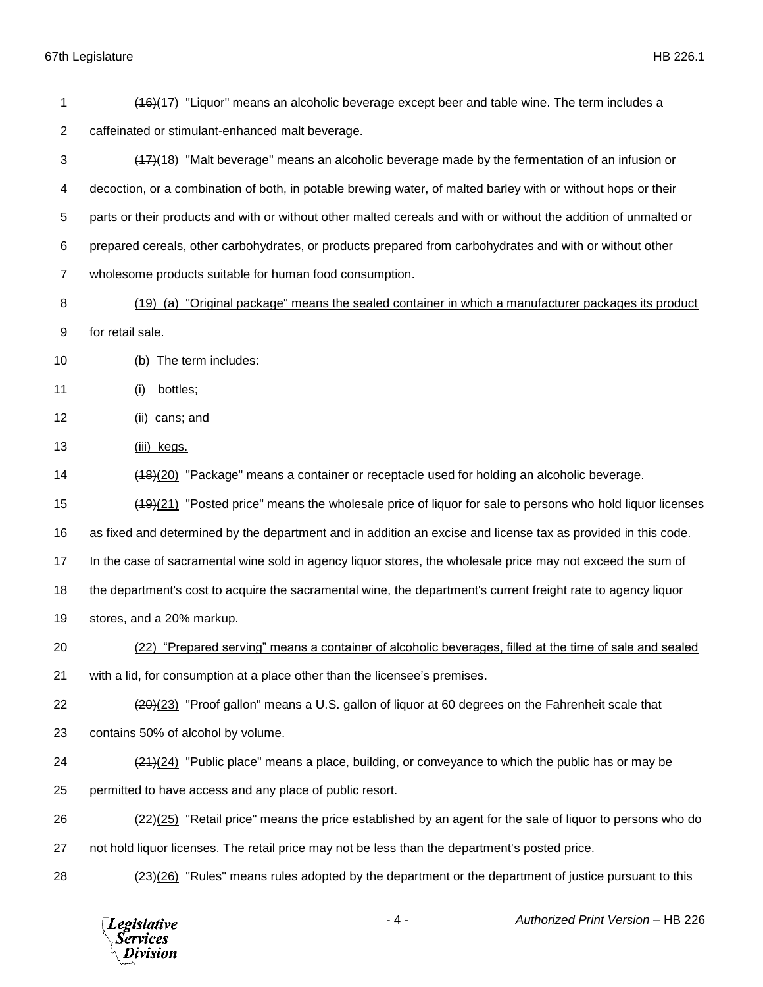(16)(17) "Liquor" means an alcoholic beverage except beer and table wine. The term includes a caffeinated or stimulant-enhanced malt beverage. (17)(18) "Malt beverage" means an alcoholic beverage made by the fermentation of an infusion or decoction, or a combination of both, in potable brewing water, of malted barley with or without hops or their parts or their products and with or without other malted cereals and with or without the addition of unmalted or prepared cereals, other carbohydrates, or products prepared from carbohydrates and with or without other wholesome products suitable for human food consumption. (19) (a) "Original package" means the sealed container in which a manufacturer packages its product for retail sale. (b) The term includes: 11 (i) bottles; (ii) cans; and (iii) kegs. (18)(20) "Package" means a container or receptacle used for holding an alcoholic beverage. (19)(21) "Posted price" means the wholesale price of liquor for sale to persons who hold liquor licenses as fixed and determined by the department and in addition an excise and license tax as provided in this code. 17 In the case of sacramental wine sold in agency liquor stores, the wholesale price may not exceed the sum of the department's cost to acquire the sacramental wine, the department's current freight rate to agency liquor stores, and a 20% markup. (22) "Prepared serving" means a container of alcoholic beverages, filled at the time of sale and sealed with a lid, for consumption at a place other than the licensee's premises. 22 (20)(23) "Proof gallon" means a U.S. gallon of liquor at 60 degrees on the Fahrenheit scale that contains 50% of alcohol by volume.  $(24)(24)$  "Public place" means a place, building, or conveyance to which the public has or may be permitted to have access and any place of public resort. 26 (22)(25) "Retail price" means the price established by an agent for the sale of liquor to persons who do not hold liquor licenses. The retail price may not be less than the department's posted price. 28 (23)(26) "Rules" means rules adopted by the department or the department of justice pursuant to this

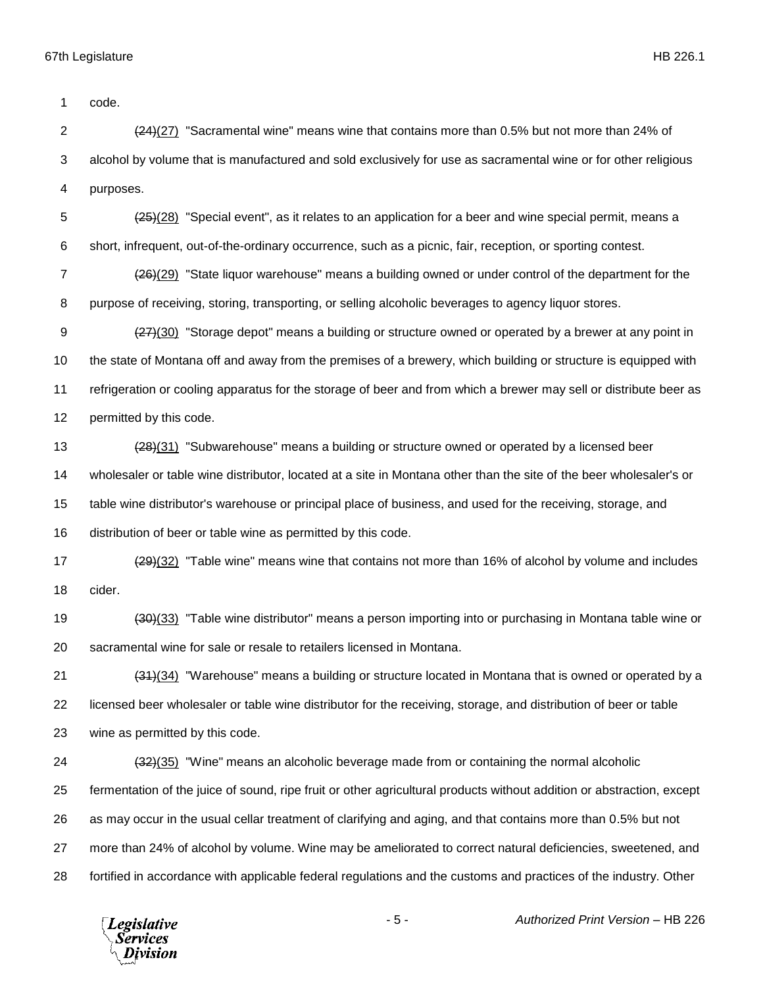code.

 (24)(27) "Sacramental wine" means wine that contains more than 0.5% but not more than 24% of alcohol by volume that is manufactured and sold exclusively for use as sacramental wine or for other religious purposes.

 $\frac{(25)}{(28)}$  "Special event", as it relates to an application for a beer and wine special permit, means a short, infrequent, out-of-the-ordinary occurrence, such as a picnic, fair, reception, or sporting contest.

 (26)(29) "State liquor warehouse" means a building owned or under control of the department for the purpose of receiving, storing, transporting, or selling alcoholic beverages to agency liquor stores.

9 (27)(30) "Storage depot" means a building or structure owned or operated by a brewer at any point in the state of Montana off and away from the premises of a brewery, which building or structure is equipped with refrigeration or cooling apparatus for the storage of beer and from which a brewer may sell or distribute beer as permitted by this code.

13 (28)(31) "Subwarehouse" means a building or structure owned or operated by a licensed beer wholesaler or table wine distributor, located at a site in Montana other than the site of the beer wholesaler's or table wine distributor's warehouse or principal place of business, and used for the receiving, storage, and distribution of beer or table wine as permitted by this code.

17  $(29)(32)$  "Table wine" means wine that contains not more than 16% of alcohol by volume and includes cider.

 (30)(33) "Table wine distributor" means a person importing into or purchasing in Montana table wine or sacramental wine for sale or resale to retailers licensed in Montana.

 (31)(34) "Warehouse" means a building or structure located in Montana that is owned or operated by a licensed beer wholesaler or table wine distributor for the receiving, storage, and distribution of beer or table wine as permitted by this code.

24 (32)(35) "Wine" means an alcoholic beverage made from or containing the normal alcoholic fermentation of the juice of sound, ripe fruit or other agricultural products without addition or abstraction, except as may occur in the usual cellar treatment of clarifying and aging, and that contains more than 0.5% but not more than 24% of alcohol by volume. Wine may be ameliorated to correct natural deficiencies, sweetened, and fortified in accordance with applicable federal regulations and the customs and practices of the industry. Other

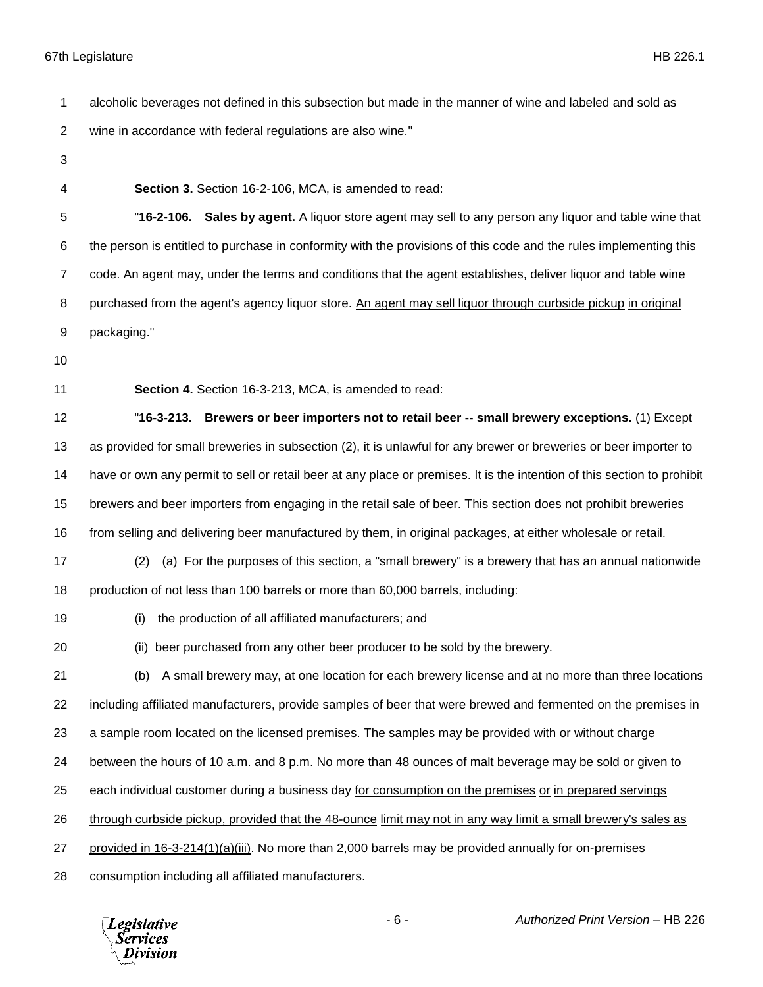- alcoholic beverages not defined in this subsection but made in the manner of wine and labeled and sold as wine in accordance with federal regulations are also wine." **Section 3.** Section 16-2-106, MCA, is amended to read: "**16-2-106. Sales by agent.** A liquor store agent may sell to any person any liquor and table wine that the person is entitled to purchase in conformity with the provisions of this code and the rules implementing this code. An agent may, under the terms and conditions that the agent establishes, deliver liquor and table wine purchased from the agent's agency liquor store. An agent may sell liquor through curbside pickup in original packaging." **Section 4.** Section 16-3-213, MCA, is amended to read: "**16-3-213. Brewers or beer importers not to retail beer -- small brewery exceptions.** (1) Except as provided for small breweries in subsection (2), it is unlawful for any brewer or breweries or beer importer to have or own any permit to sell or retail beer at any place or premises. It is the intention of this section to prohibit brewers and beer importers from engaging in the retail sale of beer. This section does not prohibit breweries from selling and delivering beer manufactured by them, in original packages, at either wholesale or retail. (2) (a) For the purposes of this section, a "small brewery" is a brewery that has an annual nationwide production of not less than 100 barrels or more than 60,000 barrels, including: (i) the production of all affiliated manufacturers; and (ii) beer purchased from any other beer producer to be sold by the brewery. (b) A small brewery may, at one location for each brewery license and at no more than three locations including affiliated manufacturers, provide samples of beer that were brewed and fermented on the premises in a sample room located on the licensed premises. The samples may be provided with or without charge
- between the hours of 10 a.m. and 8 p.m. No more than 48 ounces of malt beverage may be sold or given to
- each individual customer during a business day for consumption on the premises or in prepared servings

through curbside pickup, provided that the 48-ounce limit may not in any way limit a small brewery's sales as

- provided in 16-3-214(1)(a)(iii). No more than 2,000 barrels may be provided annually for on-premises
- consumption including all affiliated manufacturers.

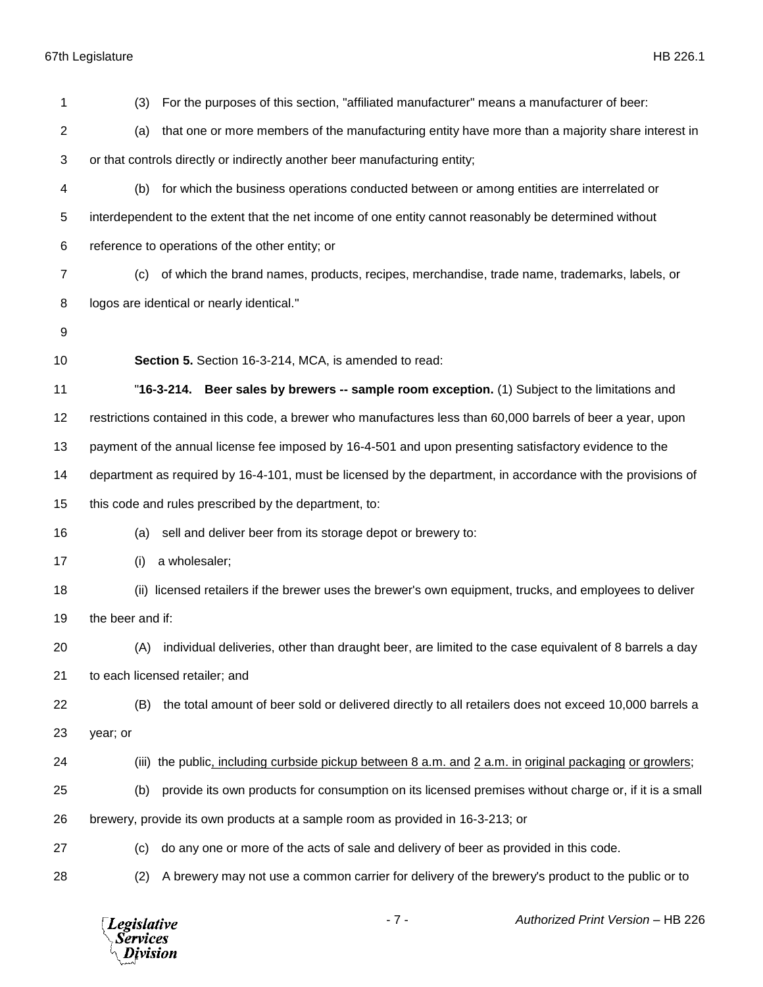| 1              | For the purposes of this section, "affiliated manufacturer" means a manufacturer of beer:<br>(3)             |
|----------------|--------------------------------------------------------------------------------------------------------------|
| $\overline{c}$ | that one or more members of the manufacturing entity have more than a majority share interest in<br>(a)      |
| 3              | or that controls directly or indirectly another beer manufacturing entity;                                   |
| 4              | for which the business operations conducted between or among entities are interrelated or<br>(b)             |
| 5              | interdependent to the extent that the net income of one entity cannot reasonably be determined without       |
| 6              | reference to operations of the other entity; or                                                              |
| $\overline{7}$ | of which the brand names, products, recipes, merchandise, trade name, trademarks, labels, or<br>(c)          |
| 8              | logos are identical or nearly identical."                                                                    |
| 9              |                                                                                                              |
| 10             | Section 5. Section 16-3-214, MCA, is amended to read:                                                        |
| 11             | "16-3-214. Beer sales by brewers -- sample room exception. (1) Subject to the limitations and                |
| 12             | restrictions contained in this code, a brewer who manufactures less than 60,000 barrels of beer a year, upon |
| 13             | payment of the annual license fee imposed by 16-4-501 and upon presenting satisfactory evidence to the       |
| 14             | department as required by 16-4-101, must be licensed by the department, in accordance with the provisions of |
| 15             | this code and rules prescribed by the department, to:                                                        |
| 16             | sell and deliver beer from its storage depot or brewery to:<br>(a)                                           |
| 17             | a wholesaler;<br>(i)                                                                                         |
| 18             | licensed retailers if the brewer uses the brewer's own equipment, trucks, and employees to deliver<br>(ii)   |
| 19             | the beer and if:                                                                                             |
| 20             | individual deliveries, other than draught beer, are limited to the case equivalent of 8 barrels a day<br>(A) |
| 21             | to each licensed retailer; and                                                                               |
| 22             | (B)<br>the total amount of beer sold or delivered directly to all retailers does not exceed 10,000 barrels a |
| 23             | year; or                                                                                                     |
| 24             | (iii) the public, including curbside pickup between 8 a.m. and 2 a.m. in original packaging or growlers;     |
| 25             | provide its own products for consumption on its licensed premises without charge or, if it is a small<br>(b) |
| 26             | brewery, provide its own products at a sample room as provided in 16-3-213; or                               |
| 27             | do any one or more of the acts of sale and delivery of beer as provided in this code.<br>(c)                 |
| 28             | A brewery may not use a common carrier for delivery of the brewery's product to the public or to<br>(2)      |

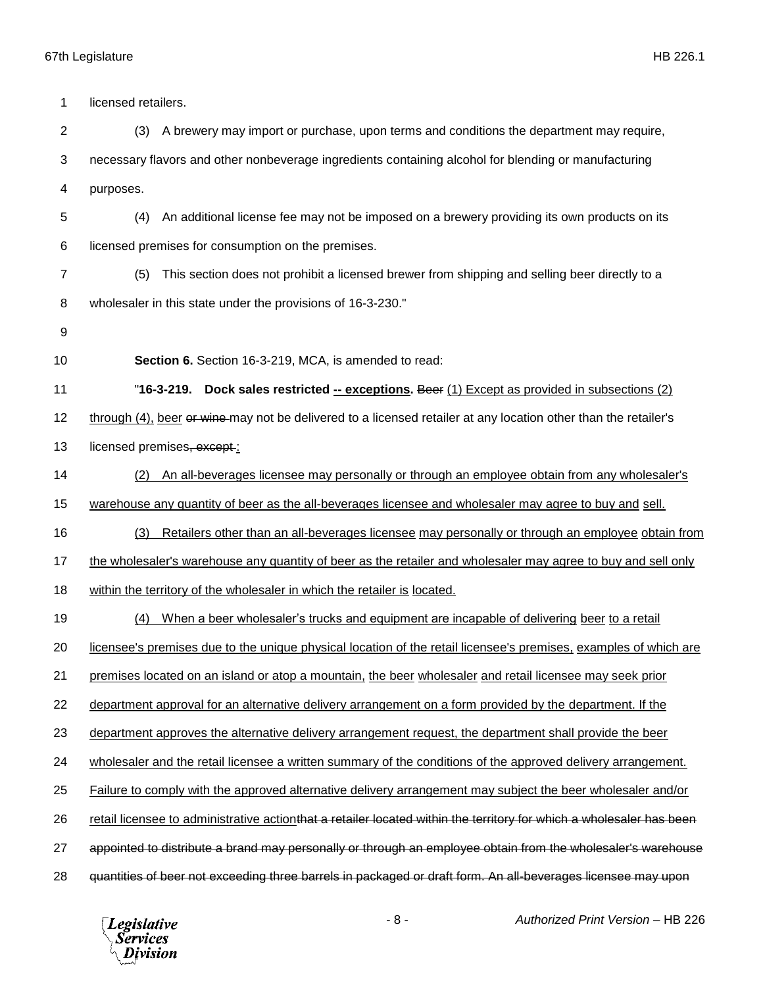1 licensed retailers. (3) A brewery may import or purchase, upon terms and conditions the department may require, necessary flavors and other nonbeverage ingredients containing alcohol for blending or manufacturing purposes. (4) An additional license fee may not be imposed on a brewery providing its own products on its licensed premises for consumption on the premises. (5) This section does not prohibit a licensed brewer from shipping and selling beer directly to a wholesaler in this state under the provisions of 16-3-230." **Section 6.** Section 16-3-219, MCA, is amended to read: "**16-3-219. Dock sales restricted -- exceptions.** Beer (1) Except as provided in subsections (2) 12 through (4), beer or wine may not be delivered to a licensed retailer at any location other than the retailer's 13 licensed premises, except : (2) An all-beverages licensee may personally or through an employee obtain from any wholesaler's warehouse any quantity of beer as the all-beverages licensee and wholesaler may agree to buy and sell. (3) Retailers other than an all-beverages licensee may personally or through an employee obtain from 17 the wholesaler's warehouse any quantity of beer as the retailer and wholesaler may agree to buy and sell only within the territory of the wholesaler in which the retailer is located. (4) When a beer wholesaler's trucks and equipment are incapable of delivering beer to a retail licensee's premises due to the unique physical location of the retail licensee's premises, examples of which are premises located on an island or atop a mountain, the beer wholesaler and retail licensee may seek prior department approval for an alternative delivery arrangement on a form provided by the department. If the department approves the alternative delivery arrangement request, the department shall provide the beer wholesaler and the retail licensee a written summary of the conditions of the approved delivery arrangement. Failure to comply with the approved alternative delivery arrangement may subject the beer wholesaler and/or 26 retail licensee to administrative actionthat a retailer located within the territory for which a wholesaler has been appointed to distribute a brand may personally or through an employee obtain from the wholesaler's warehouse quantities of beer not exceeding three barrels in packaged or draft form. An all-beverages licensee may upon

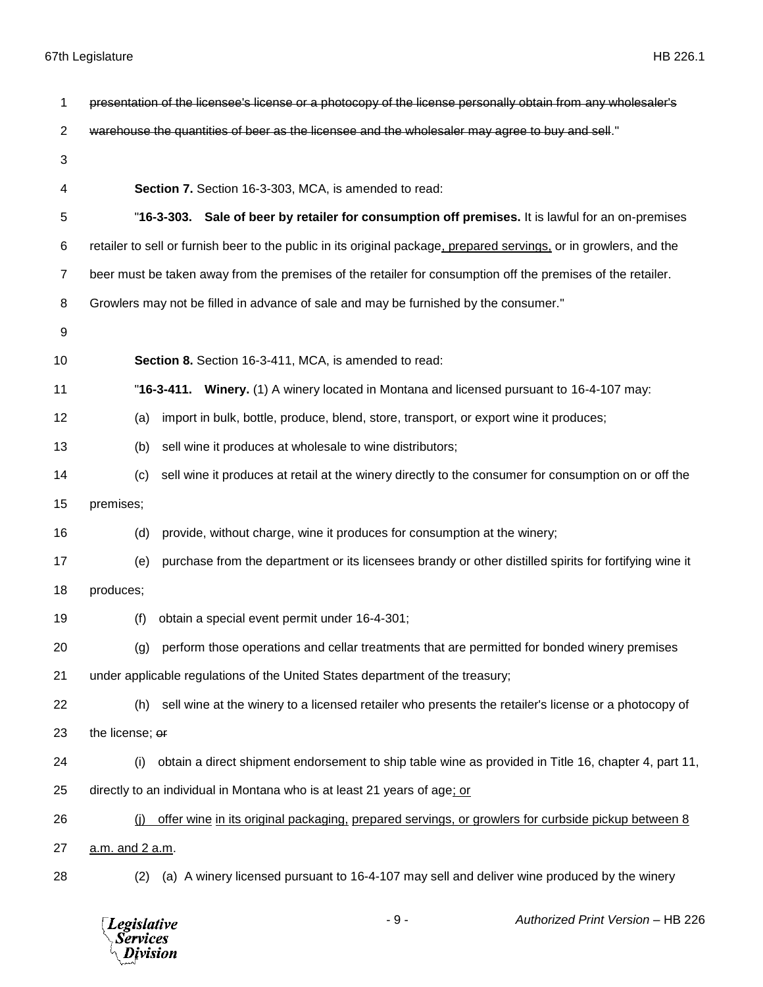| 1  | presentation of the licensee's license or a photocopy of the license personally obtain from any wholesaler's       |
|----|--------------------------------------------------------------------------------------------------------------------|
| 2  | warehouse the quantities of beer as the licensee and the wholesaler may agree to buy and sell."                    |
| 3  |                                                                                                                    |
| 4  | Section 7. Section 16-3-303, MCA, is amended to read:                                                              |
| 5  | "16-3-303. Sale of beer by retailer for consumption off premises. It is lawful for an on-premises                  |
| 6  | retailer to sell or furnish beer to the public in its original package, prepared servings, or in growlers, and the |
| 7  | beer must be taken away from the premises of the retailer for consumption off the premises of the retailer.        |
| 8  | Growlers may not be filled in advance of sale and may be furnished by the consumer."                               |
| 9  |                                                                                                                    |
| 10 | Section 8. Section 16-3-411, MCA, is amended to read:                                                              |
| 11 | "16-3-411. Winery. (1) A winery located in Montana and licensed pursuant to 16-4-107 may:                          |
| 12 | import in bulk, bottle, produce, blend, store, transport, or export wine it produces;<br>(a)                       |
| 13 | sell wine it produces at wholesale to wine distributors;<br>(b)                                                    |
| 14 | sell wine it produces at retail at the winery directly to the consumer for consumption on or off the<br>(c)        |
| 15 | premises;                                                                                                          |
| 16 | provide, without charge, wine it produces for consumption at the winery;<br>(d)                                    |
| 17 | purchase from the department or its licensees brandy or other distilled spirits for fortifying wine it<br>(e)      |
| 18 | produces;                                                                                                          |
| 19 | obtain a special event permit under 16-4-301;<br>(f)                                                               |
| 20 | (g) perform those operations and cellar treatments that are permitted for bonded winery premises                   |
| 21 | under applicable regulations of the United States department of the treasury;                                      |
| 22 | sell wine at the winery to a licensed retailer who presents the retailer's license or a photocopy of<br>(h)        |
| 23 | the license; or                                                                                                    |
| 24 | obtain a direct shipment endorsement to ship table wine as provided in Title 16, chapter 4, part 11,<br>(i)        |
| 25 | directly to an individual in Montana who is at least 21 years of age; or                                           |
| 26 | offer wine in its original packaging, prepared servings, or growlers for curbside pickup between 8<br>(i)          |
| 27 | a.m. and 2 a.m.                                                                                                    |
| 28 | (a) A winery licensed pursuant to 16-4-107 may sell and deliver wine produced by the winery<br>(2)                 |

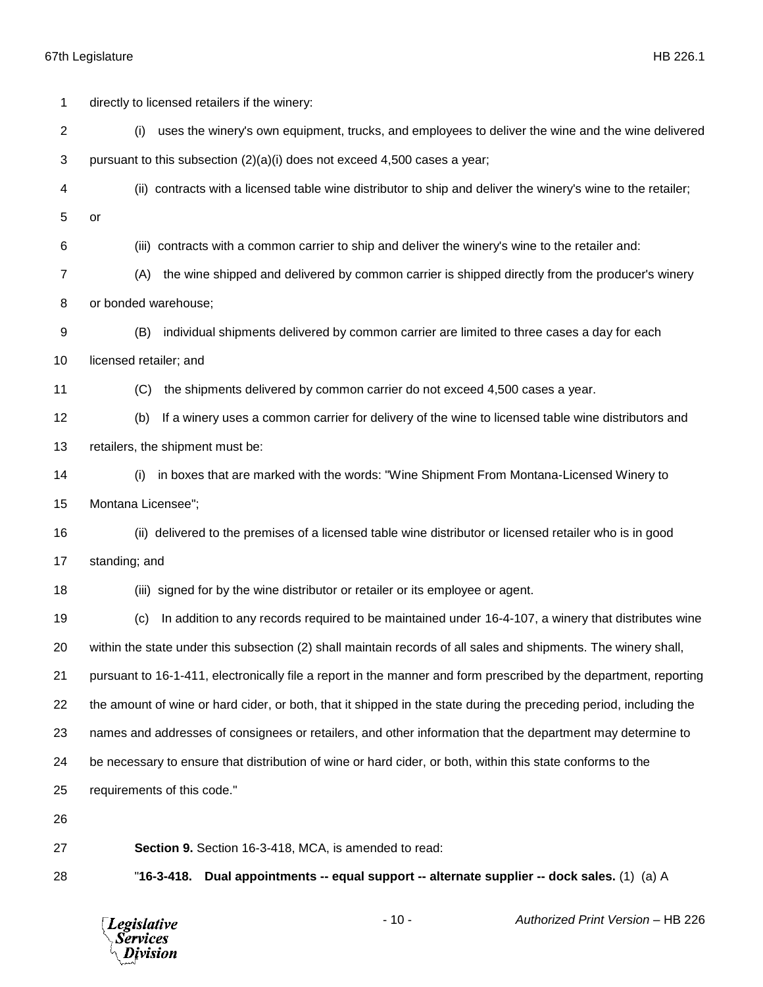| 1  | directly to licensed retailers if the winery:                                                                      |
|----|--------------------------------------------------------------------------------------------------------------------|
| 2  | uses the winery's own equipment, trucks, and employees to deliver the wine and the wine delivered<br>(i)           |
| 3  | pursuant to this subsection (2)(a)(i) does not exceed 4,500 cases a year;                                          |
| 4  | (ii) contracts with a licensed table wine distributor to ship and deliver the winery's wine to the retailer;       |
| 5  | or                                                                                                                 |
| 6  | (iii) contracts with a common carrier to ship and deliver the winery's wine to the retailer and:                   |
| 7  | the wine shipped and delivered by common carrier is shipped directly from the producer's winery<br>(A)             |
| 8  | or bonded warehouse;                                                                                               |
| 9  | individual shipments delivered by common carrier are limited to three cases a day for each<br>(B)                  |
| 10 | licensed retailer; and                                                                                             |
| 11 | the shipments delivered by common carrier do not exceed 4,500 cases a year.<br>(C)                                 |
| 12 | If a winery uses a common carrier for delivery of the wine to licensed table wine distributors and<br>(b)          |
| 13 | retailers, the shipment must be:                                                                                   |
| 14 | in boxes that are marked with the words: "Wine Shipment From Montana-Licensed Winery to<br>(i)                     |
| 15 | Montana Licensee";                                                                                                 |
| 16 | (ii) delivered to the premises of a licensed table wine distributor or licensed retailer who is in good            |
| 17 | standing; and                                                                                                      |
| 18 | (iii) signed for by the wine distributor or retailer or its employee or agent.                                     |
| 19 | In addition to any records required to be maintained under 16-4-107, a winery that distributes wine<br>(c)         |
| 20 | within the state under this subsection (2) shall maintain records of all sales and shipments. The winery shall,    |
| 21 | pursuant to 16-1-411, electronically file a report in the manner and form prescribed by the department, reporting  |
| 22 | the amount of wine or hard cider, or both, that it shipped in the state during the preceding period, including the |
| 23 | names and addresses of consignees or retailers, and other information that the department may determine to         |
| 24 | be necessary to ensure that distribution of wine or hard cider, or both, within this state conforms to the         |
| 25 | requirements of this code."                                                                                        |
| 26 |                                                                                                                    |
| 27 | Section 9. Section 16-3-418, MCA, is amended to read:                                                              |
| 28 | "16-3-418.<br>Dual appointments -- equal support -- alternate supplier -- dock sales. (1) (a) A                    |

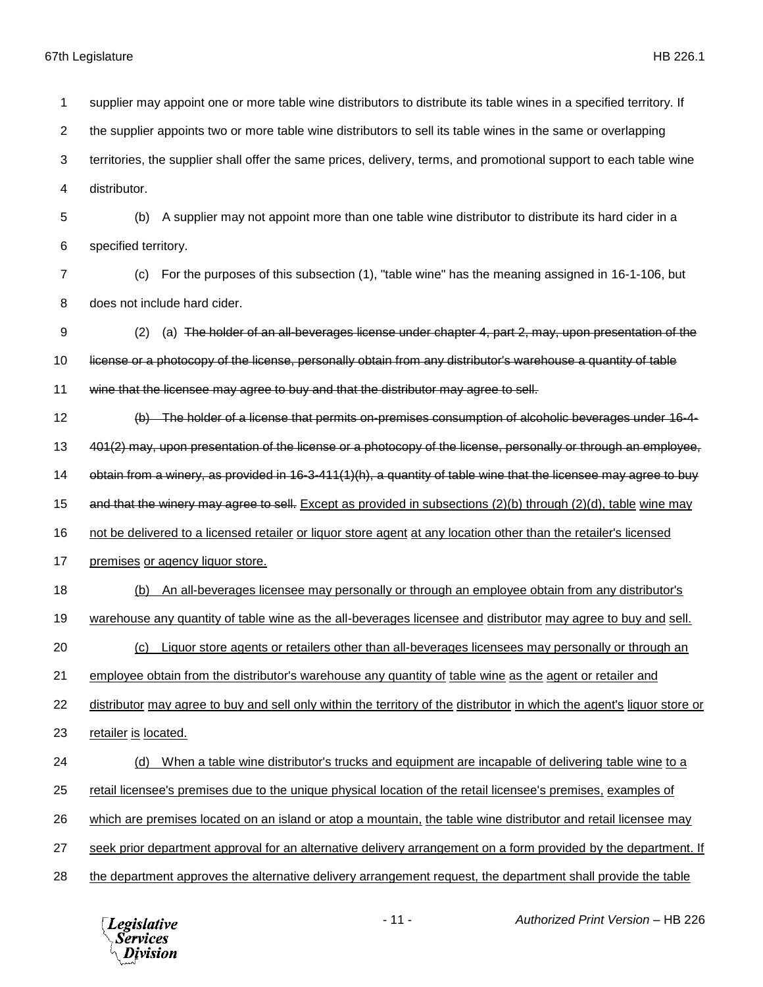supplier may appoint one or more table wine distributors to distribute its table wines in a specified territory. If the supplier appoints two or more table wine distributors to sell its table wines in the same or overlapping territories, the supplier shall offer the same prices, delivery, terms, and promotional support to each table wine distributor. (b) A supplier may not appoint more than one table wine distributor to distribute its hard cider in a specified territory. (c) For the purposes of this subsection (1), "table wine" has the meaning assigned in 16-1-106, but does not include hard cider. (2) (a) The holder of an all-beverages license under chapter 4, part 2, may, upon presentation of the license or a photocopy of the license, personally obtain from any distributor's warehouse a quantity of table wine that the licensee may agree to buy and that the distributor may agree to sell. (b) The holder of a license that permits on-premises consumption of alcoholic beverages under 16-4- 13 401(2) may, upon presentation of the license or a photocopy of the license, personally or through an employee, obtain from a winery, as provided in 16-3-411(1)(h), a quantity of table wine that the licensee may agree to buy 15 and that the winery may agree to sell. Except as provided in subsections (2)(b) through (2)(d), table wine may not be delivered to a licensed retailer or liquor store agent at any location other than the retailer's licensed 17 premises or agency liquor store. (b) An all-beverages licensee may personally or through an employee obtain from any distributor's warehouse any quantity of table wine as the all-beverages licensee and distributor may agree to buy and sell. (c) Liquor store agents or retailers other than all-beverages licensees may personally or through an employee obtain from the distributor's warehouse any quantity of table wine as the agent or retailer and distributor may agree to buy and sell only within the territory of the distributor in which the agent's liquor store or 23 retailer is located. (d) When a table wine distributor's trucks and equipment are incapable of delivering table wine to a retail licensee's premises due to the unique physical location of the retail licensee's premises, examples of which are premises located on an island or atop a mountain, the table wine distributor and retail licensee may seek prior department approval for an alternative delivery arrangement on a form provided by the department. If the department approves the alternative delivery arrangement request, the department shall provide the table

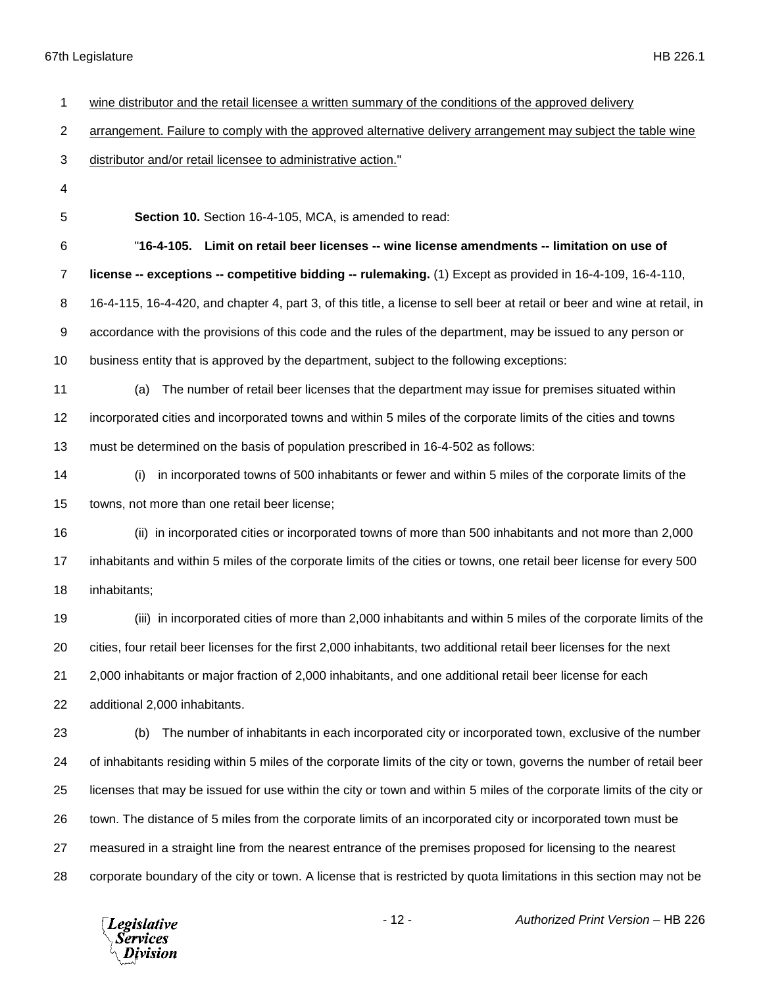| 1              | wine distributor and the retail licensee a written summary of the conditions of the approved delivery                     |
|----------------|---------------------------------------------------------------------------------------------------------------------------|
| $\overline{c}$ | arrangement. Failure to comply with the approved alternative delivery arrangement may subject the table wine              |
| 3              | distributor and/or retail licensee to administrative action."                                                             |
| 4              |                                                                                                                           |
| 5              | Section 10. Section 16-4-105, MCA, is amended to read:                                                                    |
| 6              | "16-4-105. Limit on retail beer licenses -- wine license amendments -- limitation on use of                               |
| 7              | license -- exceptions -- competitive bidding -- rulemaking. (1) Except as provided in 16-4-109, 16-4-110,                 |
| 8              | 16-4-115, 16-4-420, and chapter 4, part 3, of this title, a license to sell beer at retail or beer and wine at retail, in |
| 9              | accordance with the provisions of this code and the rules of the department, may be issued to any person or               |
| 10             | business entity that is approved by the department, subject to the following exceptions:                                  |
| 11             | The number of retail beer licenses that the department may issue for premises situated within<br>(a)                      |
| 12             | incorporated cities and incorporated towns and within 5 miles of the corporate limits of the cities and towns             |
| 13             | must be determined on the basis of population prescribed in 16-4-502 as follows:                                          |
| 14             | in incorporated towns of 500 inhabitants or fewer and within 5 miles of the corporate limits of the<br>(i)                |
| 15             | towns, not more than one retail beer license;                                                                             |
| 16             | (ii) in incorporated cities or incorporated towns of more than 500 inhabitants and not more than 2,000                    |
| 17             | inhabitants and within 5 miles of the corporate limits of the cities or towns, one retail beer license for every 500      |
| 18             | inhabitants;                                                                                                              |
| 19             | (iii) in incorporated cities of more than 2,000 inhabitants and within 5 miles of the corporate limits of the             |
| 20             | cities, four retail beer licenses for the first 2,000 inhabitants, two additional retail beer licenses for the next       |
| 21             | 2,000 inhabitants or major fraction of 2,000 inhabitants, and one additional retail beer license for each                 |
| 22             | additional 2,000 inhabitants.                                                                                             |
| 23             | The number of inhabitants in each incorporated city or incorporated town, exclusive of the number<br>(b)                  |
| 24             | of inhabitants residing within 5 miles of the corporate limits of the city or town, governs the number of retail beer     |
| 25             | licenses that may be issued for use within the city or town and within 5 miles of the corporate limits of the city or     |
| 26             | town. The distance of 5 miles from the corporate limits of an incorporated city or incorporated town must be              |
| 27             | measured in a straight line from the nearest entrance of the premises proposed for licensing to the nearest               |
| 28             | corporate boundary of the city or town. A license that is restricted by quota limitations in this section may not be      |

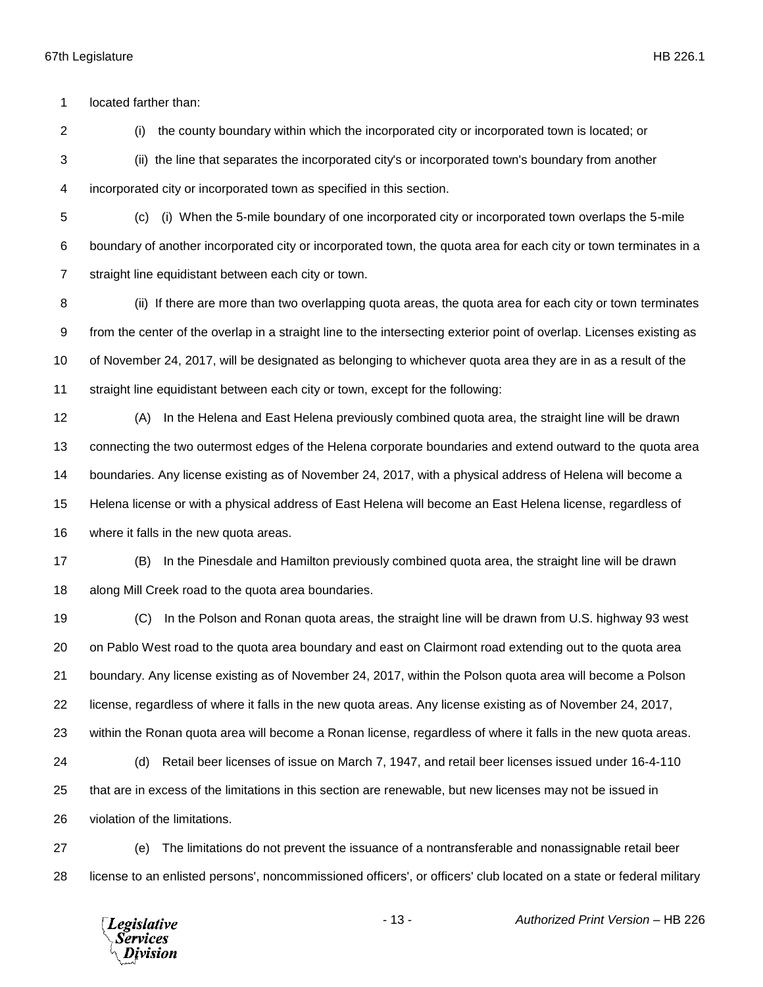located farther than:

(i) the county boundary within which the incorporated city or incorporated town is located; or

(ii) the line that separates the incorporated city's or incorporated town's boundary from another

incorporated city or incorporated town as specified in this section.

 (c) (i) When the 5-mile boundary of one incorporated city or incorporated town overlaps the 5-mile boundary of another incorporated city or incorporated town, the quota area for each city or town terminates in a straight line equidistant between each city or town.

8 (ii) If there are more than two overlapping quota areas, the quota area for each city or town terminates from the center of the overlap in a straight line to the intersecting exterior point of overlap. Licenses existing as of November 24, 2017, will be designated as belonging to whichever quota area they are in as a result of the straight line equidistant between each city or town, except for the following:

 (A) In the Helena and East Helena previously combined quota area, the straight line will be drawn connecting the two outermost edges of the Helena corporate boundaries and extend outward to the quota area boundaries. Any license existing as of November 24, 2017, with a physical address of Helena will become a Helena license or with a physical address of East Helena will become an East Helena license, regardless of where it falls in the new quota areas.

 (B) In the Pinesdale and Hamilton previously combined quota area, the straight line will be drawn along Mill Creek road to the quota area boundaries.

 (C) In the Polson and Ronan quota areas, the straight line will be drawn from U.S. highway 93 west on Pablo West road to the quota area boundary and east on Clairmont road extending out to the quota area boundary. Any license existing as of November 24, 2017, within the Polson quota area will become a Polson license, regardless of where it falls in the new quota areas. Any license existing as of November 24, 2017, within the Ronan quota area will become a Ronan license, regardless of where it falls in the new quota areas. (d) Retail beer licenses of issue on March 7, 1947, and retail beer licenses issued under 16-4-110 that are in excess of the limitations in this section are renewable, but new licenses may not be issued in violation of the limitations.

 (e) The limitations do not prevent the issuance of a nontransferable and nonassignable retail beer license to an enlisted persons', noncommissioned officers', or officers' club located on a state or federal military

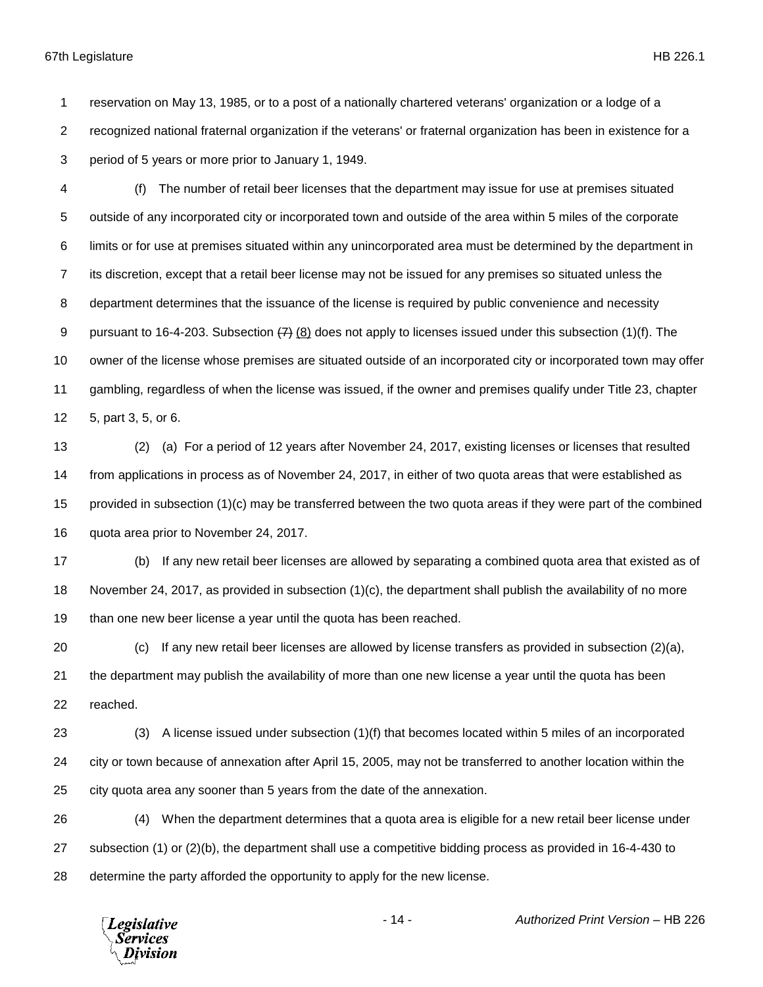reservation on May 13, 1985, or to a post of a nationally chartered veterans' organization or a lodge of a recognized national fraternal organization if the veterans' or fraternal organization has been in existence for a period of 5 years or more prior to January 1, 1949.

 (f) The number of retail beer licenses that the department may issue for use at premises situated outside of any incorporated city or incorporated town and outside of the area within 5 miles of the corporate limits or for use at premises situated within any unincorporated area must be determined by the department in its discretion, except that a retail beer license may not be issued for any premises so situated unless the department determines that the issuance of the license is required by public convenience and necessity 9 pursuant to 16-4-203. Subsection  $\left(7\right)$  (8) does not apply to licenses issued under this subsection (1)(f). The owner of the license whose premises are situated outside of an incorporated city or incorporated town may offer gambling, regardless of when the license was issued, if the owner and premises qualify under Title 23, chapter 5, part 3, 5, or 6.

 (2) (a) For a period of 12 years after November 24, 2017, existing licenses or licenses that resulted from applications in process as of November 24, 2017, in either of two quota areas that were established as provided in subsection (1)(c) may be transferred between the two quota areas if they were part of the combined quota area prior to November 24, 2017.

 (b) If any new retail beer licenses are allowed by separating a combined quota area that existed as of November 24, 2017, as provided in subsection (1)(c), the department shall publish the availability of no more than one new beer license a year until the quota has been reached.

 (c) If any new retail beer licenses are allowed by license transfers as provided in subsection (2)(a), the department may publish the availability of more than one new license a year until the quota has been reached.

 (3) A license issued under subsection (1)(f) that becomes located within 5 miles of an incorporated city or town because of annexation after April 15, 2005, may not be transferred to another location within the city quota area any sooner than 5 years from the date of the annexation.

 (4) When the department determines that a quota area is eligible for a new retail beer license under subsection (1) or (2)(b), the department shall use a competitive bidding process as provided in 16-4-430 to determine the party afforded the opportunity to apply for the new license.

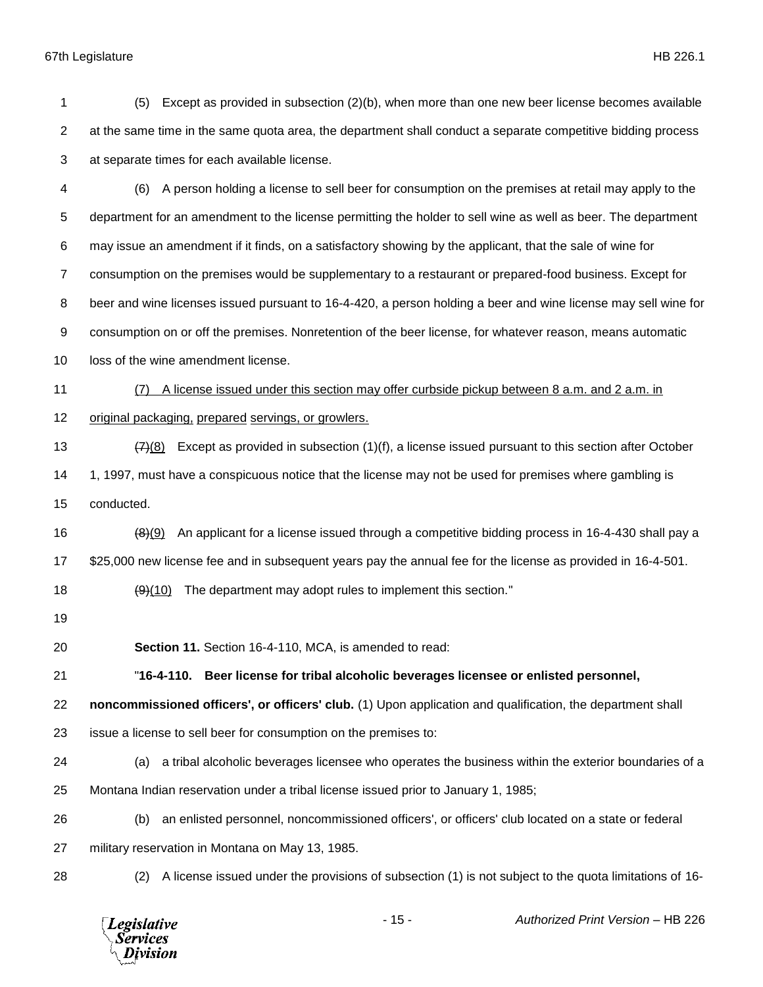| 1              | Except as provided in subsection (2)(b), when more than one new beer license becomes available<br>(5)          |
|----------------|----------------------------------------------------------------------------------------------------------------|
| $\overline{c}$ | at the same time in the same quota area, the department shall conduct a separate competitive bidding process   |
| 3              | at separate times for each available license.                                                                  |
| 4              | A person holding a license to sell beer for consumption on the premises at retail may apply to the<br>(6)      |
| 5              | department for an amendment to the license permitting the holder to sell wine as well as beer. The department  |
| 6              | may issue an amendment if it finds, on a satisfactory showing by the applicant, that the sale of wine for      |
| $\overline{7}$ | consumption on the premises would be supplementary to a restaurant or prepared-food business. Except for       |
| 8              | beer and wine licenses issued pursuant to 16-4-420, a person holding a beer and wine license may sell wine for |
| 9              | consumption on or off the premises. Nonretention of the beer license, for whatever reason, means automatic     |
| 10             | loss of the wine amendment license.                                                                            |
| 11             | A license issued under this section may offer curbside pickup between 8 a.m. and 2 a.m. in<br>(7)              |
| 12             | original packaging, prepared servings, or growlers.                                                            |
| 13             | Except as provided in subsection (1)(f), a license issued pursuant to this section after October<br>(7)(8)     |
| 14             | 1, 1997, must have a conspicuous notice that the license may not be used for premises where gambling is        |
| 15             | conducted.                                                                                                     |
| 16             | An applicant for a license issued through a competitive bidding process in 16-4-430 shall pay a<br>(8)(9)      |
| 17             | \$25,000 new license fee and in subsequent years pay the annual fee for the license as provided in 16-4-501.   |
| 18             | The department may adopt rules to implement this section."<br>(9)(10)                                          |
| 19             |                                                                                                                |
| 20             | Section 11. Section 16-4-110, MCA, is amended to read:                                                         |
| 21             | Beer license for tribal alcoholic beverages licensee or enlisted personnel,<br>"16-4-110.                      |
| 22             | noncommissioned officers', or officers' club. (1) Upon application and qualification, the department shall     |
| 23             | issue a license to sell beer for consumption on the premises to:                                               |
| 24             | a tribal alcoholic beverages licensee who operates the business within the exterior boundaries of a<br>(a)     |
| 25             | Montana Indian reservation under a tribal license issued prior to January 1, 1985;                             |
| 26             | an enlisted personnel, noncommissioned officers', or officers' club located on a state or federal<br>(b)       |
| 27             | military reservation in Montana on May 13, 1985.                                                               |
| 28             | A license issued under the provisions of subsection (1) is not subject to the quota limitations of 16-<br>(2)  |
|                |                                                                                                                |

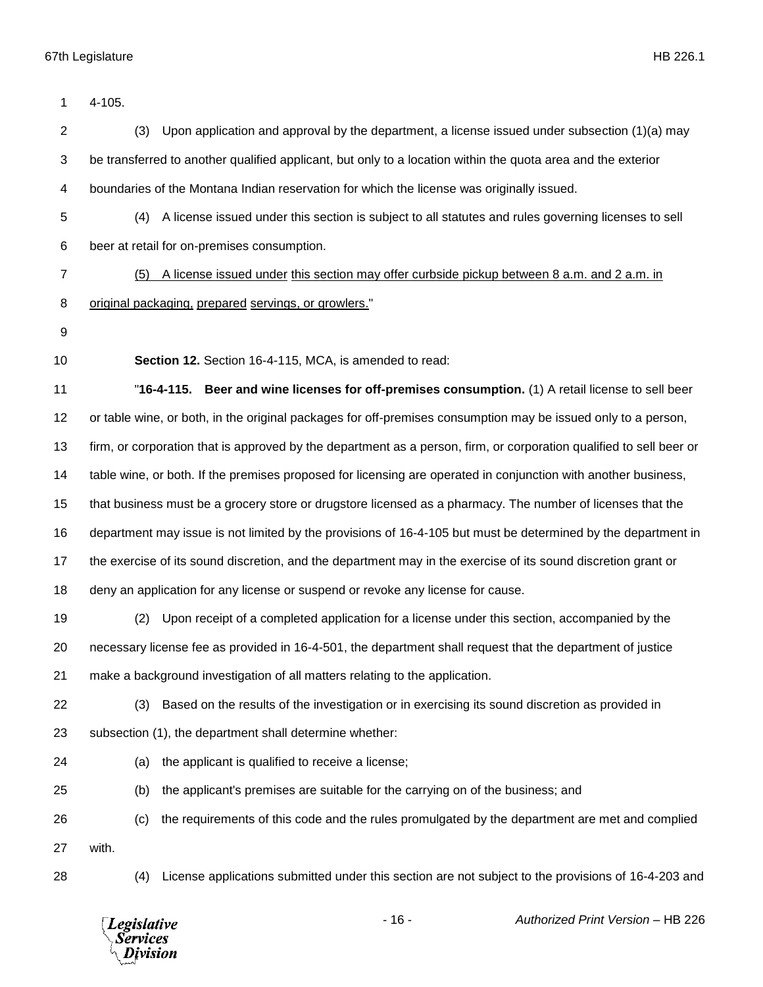| 1              | 4-105.                                                                                                              |
|----------------|---------------------------------------------------------------------------------------------------------------------|
| $\overline{2}$ | Upon application and approval by the department, a license issued under subsection $(1)(a)$ may<br>(3)              |
| 3              | be transferred to another qualified applicant, but only to a location within the quota area and the exterior        |
| 4              | boundaries of the Montana Indian reservation for which the license was originally issued.                           |
| 5              | A license issued under this section is subject to all statutes and rules governing licenses to sell<br>(4)          |
| 6              | beer at retail for on-premises consumption.                                                                         |
| $\overline{7}$ | A license issued under this section may offer curbside pickup between 8 a.m. and 2 a.m. in<br>(5)                   |
| 8              | original packaging, prepared servings, or growlers."                                                                |
| 9              |                                                                                                                     |
| 10             | Section 12. Section 16-4-115, MCA, is amended to read:                                                              |
| 11             | "16-4-115.<br>Beer and wine licenses for off-premises consumption. (1) A retail license to sell beer                |
| 12             | or table wine, or both, in the original packages for off-premises consumption may be issued only to a person,       |
| 13             | firm, or corporation that is approved by the department as a person, firm, or corporation qualified to sell beer or |
| 14             | table wine, or both. If the premises proposed for licensing are operated in conjunction with another business,      |
| 15             | that business must be a grocery store or drugstore licensed as a pharmacy. The number of licenses that the          |
| 16             | department may issue is not limited by the provisions of 16-4-105 but must be determined by the department in       |
| 17             | the exercise of its sound discretion, and the department may in the exercise of its sound discretion grant or       |
| 18             | deny an application for any license or suspend or revoke any license for cause.                                     |
| 19             | Upon receipt of a completed application for a license under this section, accompanied by the<br>(2)                 |
| 20             | necessary license fee as provided in 16-4-501, the department shall request that the department of justice          |
| 21             | make a background investigation of all matters relating to the application.                                         |
| 22             | Based on the results of the investigation or in exercising its sound discretion as provided in<br>(3)               |
| 23             | subsection (1), the department shall determine whether:                                                             |
| 24             | the applicant is qualified to receive a license;<br>(a)                                                             |
| 25             | the applicant's premises are suitable for the carrying on of the business; and<br>(b)                               |
| 26             | the requirements of this code and the rules promulgated by the department are met and complied<br>(c)               |
| 27             | with.                                                                                                               |
| 28             | License applications submitted under this section are not subject to the provisions of 16-4-203 and<br>(4)          |
|                | $-16-$<br>Authorized Print Version - HB 226<br>Legislative<br><b>Services</b><br>Division                           |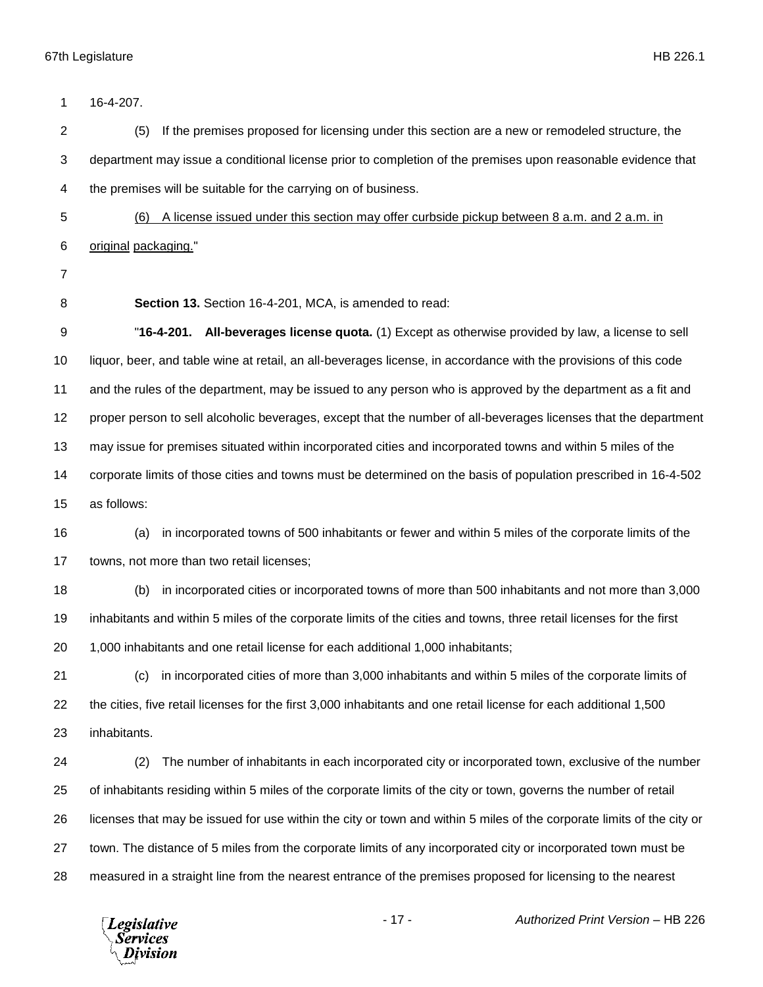16-4-207. (5) If the premises proposed for licensing under this section are a new or remodeled structure, the department may issue a conditional license prior to completion of the premises upon reasonable evidence that the premises will be suitable for the carrying on of business. (6) A license issued under this section may offer curbside pickup between 8 a.m. and 2 a.m. in original packaging." **Section 13.** Section 16-4-201, MCA, is amended to read: "**16-4-201. All-beverages license quota.** (1) Except as otherwise provided by law, a license to sell liquor, beer, and table wine at retail, an all-beverages license, in accordance with the provisions of this code and the rules of the department, may be issued to any person who is approved by the department as a fit and proper person to sell alcoholic beverages, except that the number of all-beverages licenses that the department may issue for premises situated within incorporated cities and incorporated towns and within 5 miles of the corporate limits of those cities and towns must be determined on the basis of population prescribed in 16-4-502 as follows: (a) in incorporated towns of 500 inhabitants or fewer and within 5 miles of the corporate limits of the towns, not more than two retail licenses; (b) in incorporated cities or incorporated towns of more than 500 inhabitants and not more than 3,000 inhabitants and within 5 miles of the corporate limits of the cities and towns, three retail licenses for the first 1,000 inhabitants and one retail license for each additional 1,000 inhabitants; (c) in incorporated cities of more than 3,000 inhabitants and within 5 miles of the corporate limits of the cities, five retail licenses for the first 3,000 inhabitants and one retail license for each additional 1,500 inhabitants. (2) The number of inhabitants in each incorporated city or incorporated town, exclusive of the number of inhabitants residing within 5 miles of the corporate limits of the city or town, governs the number of retail licenses that may be issued for use within the city or town and within 5 miles of the corporate limits of the city or town. The distance of 5 miles from the corporate limits of any incorporated city or incorporated town must be measured in a straight line from the nearest entrance of the premises proposed for licensing to the nearest

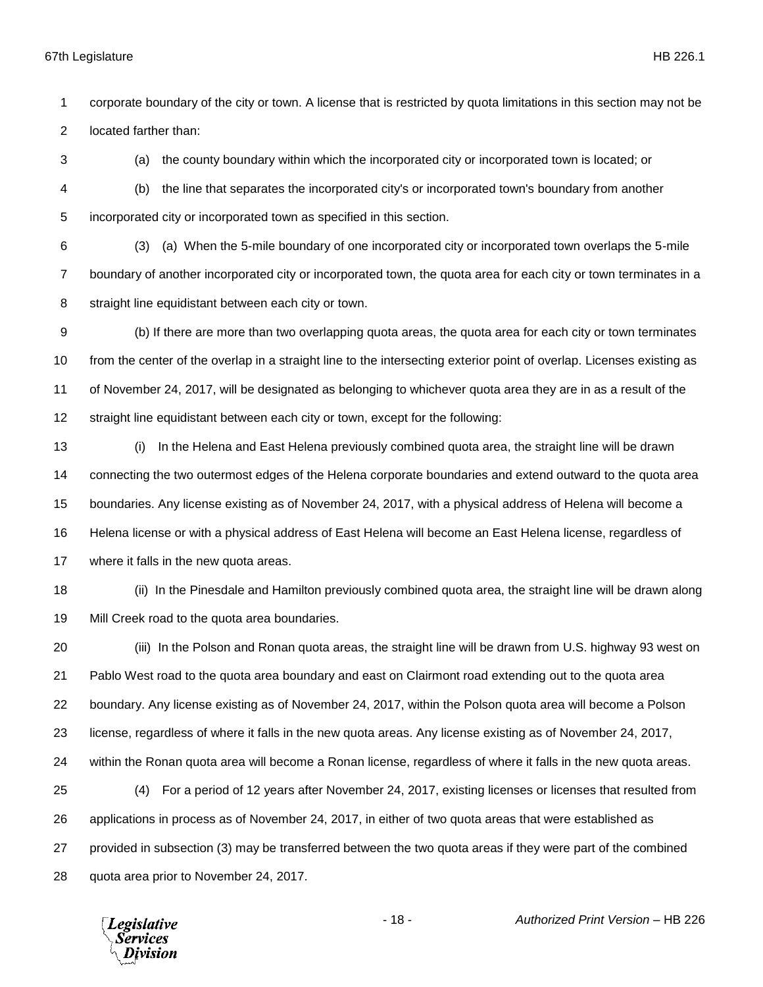corporate boundary of the city or town. A license that is restricted by quota limitations in this section may not be located farther than:

(a) the county boundary within which the incorporated city or incorporated town is located; or

 (b) the line that separates the incorporated city's or incorporated town's boundary from another incorporated city or incorporated town as specified in this section.

 (3) (a) When the 5-mile boundary of one incorporated city or incorporated town overlaps the 5-mile boundary of another incorporated city or incorporated town, the quota area for each city or town terminates in a straight line equidistant between each city or town.

 (b) If there are more than two overlapping quota areas, the quota area for each city or town terminates from the center of the overlap in a straight line to the intersecting exterior point of overlap. Licenses existing as of November 24, 2017, will be designated as belonging to whichever quota area they are in as a result of the straight line equidistant between each city or town, except for the following:

 (i) In the Helena and East Helena previously combined quota area, the straight line will be drawn connecting the two outermost edges of the Helena corporate boundaries and extend outward to the quota area boundaries. Any license existing as of November 24, 2017, with a physical address of Helena will become a Helena license or with a physical address of East Helena will become an East Helena license, regardless of where it falls in the new quota areas.

 (ii) In the Pinesdale and Hamilton previously combined quota area, the straight line will be drawn along Mill Creek road to the quota area boundaries.

 (iii) In the Polson and Ronan quota areas, the straight line will be drawn from U.S. highway 93 west on Pablo West road to the quota area boundary and east on Clairmont road extending out to the quota area boundary. Any license existing as of November 24, 2017, within the Polson quota area will become a Polson license, regardless of where it falls in the new quota areas. Any license existing as of November 24, 2017, within the Ronan quota area will become a Ronan license, regardless of where it falls in the new quota areas. (4) For a period of 12 years after November 24, 2017, existing licenses or licenses that resulted from applications in process as of November 24, 2017, in either of two quota areas that were established as provided in subsection (3) may be transferred between the two quota areas if they were part of the combined quota area prior to November 24, 2017.

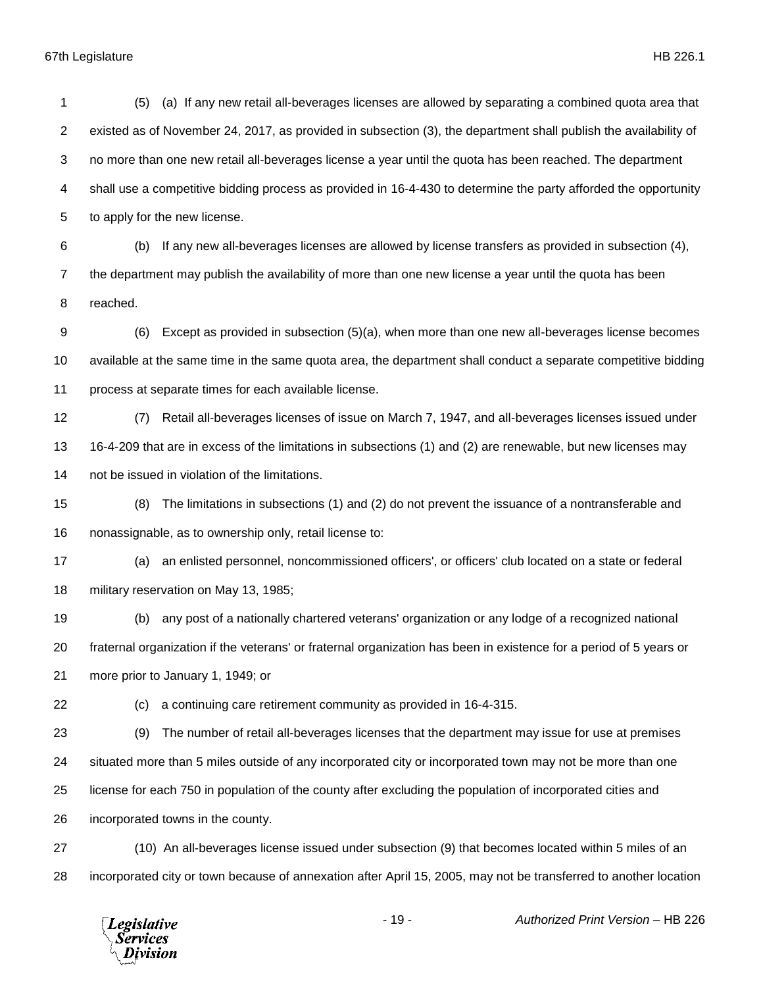(5) (a) If any new retail all-beverages licenses are allowed by separating a combined quota area that existed as of November 24, 2017, as provided in subsection (3), the department shall publish the availability of no more than one new retail all-beverages license a year until the quota has been reached. The department shall use a competitive bidding process as provided in 16-4-430 to determine the party afforded the opportunity to apply for the new license. (b) If any new all-beverages licenses are allowed by license transfers as provided in subsection (4), the department may publish the availability of more than one new license a year until the quota has been reached. (6) Except as provided in subsection (5)(a), when more than one new all-beverages license becomes available at the same time in the same quota area, the department shall conduct a separate competitive bidding process at separate times for each available license. (7) Retail all-beverages licenses of issue on March 7, 1947, and all-beverages licenses issued under 16-4-209 that are in excess of the limitations in subsections (1) and (2) are renewable, but new licenses may not be issued in violation of the limitations. (8) The limitations in subsections (1) and (2) do not prevent the issuance of a nontransferable and nonassignable, as to ownership only, retail license to: (a) an enlisted personnel, noncommissioned officers', or officers' club located on a state or federal military reservation on May 13, 1985; (b) any post of a nationally chartered veterans' organization or any lodge of a recognized national fraternal organization if the veterans' or fraternal organization has been in existence for a period of 5 years or more prior to January 1, 1949; or (c) a continuing care retirement community as provided in 16-4-315. (9) The number of retail all-beverages licenses that the department may issue for use at premises situated more than 5 miles outside of any incorporated city or incorporated town may not be more than one license for each 750 in population of the county after excluding the population of incorporated cities and incorporated towns in the county. (10) An all-beverages license issued under subsection (9) that becomes located within 5 miles of an incorporated city or town because of annexation after April 15, 2005, may not be transferred to another location

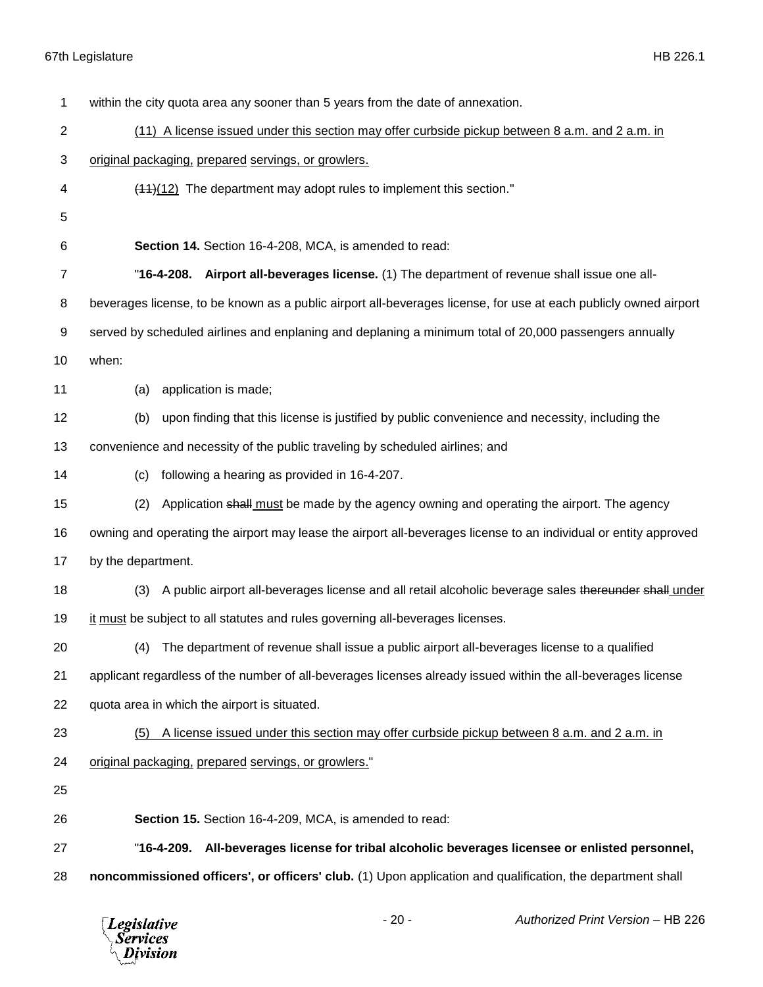*Legislative*<br>Services<br>*Division* 

| 1  | within the city quota area any sooner than 5 years from the date of annexation.                                  |
|----|------------------------------------------------------------------------------------------------------------------|
| 2  | (11) A license issued under this section may offer curbside pickup between 8 a.m. and 2 a.m. in                  |
| 3  | original packaging, prepared servings, or growlers.                                                              |
| 4  | $(11)(12)$ The department may adopt rules to implement this section."                                            |
| 5  |                                                                                                                  |
| 6  | Section 14. Section 16-4-208, MCA, is amended to read:                                                           |
| 7  | "16-4-208. Airport all-beverages license. (1) The department of revenue shall issue one all-                     |
| 8  | beverages license, to be known as a public airport all-beverages license, for use at each publicly owned airport |
| 9  | served by scheduled airlines and enplaning and deplaning a minimum total of 20,000 passengers annually           |
| 10 | when:                                                                                                            |
| 11 | application is made;<br>(a)                                                                                      |
| 12 | upon finding that this license is justified by public convenience and necessity, including the<br>(b)            |
| 13 | convenience and necessity of the public traveling by scheduled airlines; and                                     |
| 14 | following a hearing as provided in 16-4-207.<br>(c)                                                              |
| 15 | Application shall must be made by the agency owning and operating the airport. The agency<br>(2)                 |
| 16 | owning and operating the airport may lease the airport all-beverages license to an individual or entity approved |
| 17 | by the department.                                                                                               |
| 18 | A public airport all-beverages license and all retail alcoholic beverage sales thereunder shall under<br>(3)     |
| 19 | it must be subject to all statutes and rules governing all-beverages licenses.                                   |
| 20 | (4) The department of revenue shall issue a public airport all-beverages license to a qualified                  |
| 21 | applicant regardless of the number of all-beverages licenses already issued within the all-beverages license     |
| 22 | quota area in which the airport is situated.                                                                     |
| 23 | A license issued under this section may offer curbside pickup between 8 a.m. and 2 a.m. in<br>(5)                |
| 24 | original packaging, prepared servings, or growlers."                                                             |
| 25 |                                                                                                                  |
| 26 | Section 15. Section 16-4-209, MCA, is amended to read:                                                           |
| 27 | "16-4-209.<br>All-beverages license for tribal alcoholic beverages licensee or enlisted personnel,               |
| 28 | noncommissioned officers', or officers' club. (1) Upon application and qualification, the department shall       |
|    |                                                                                                                  |

- 20 - *Authorized Print Version* – HB 226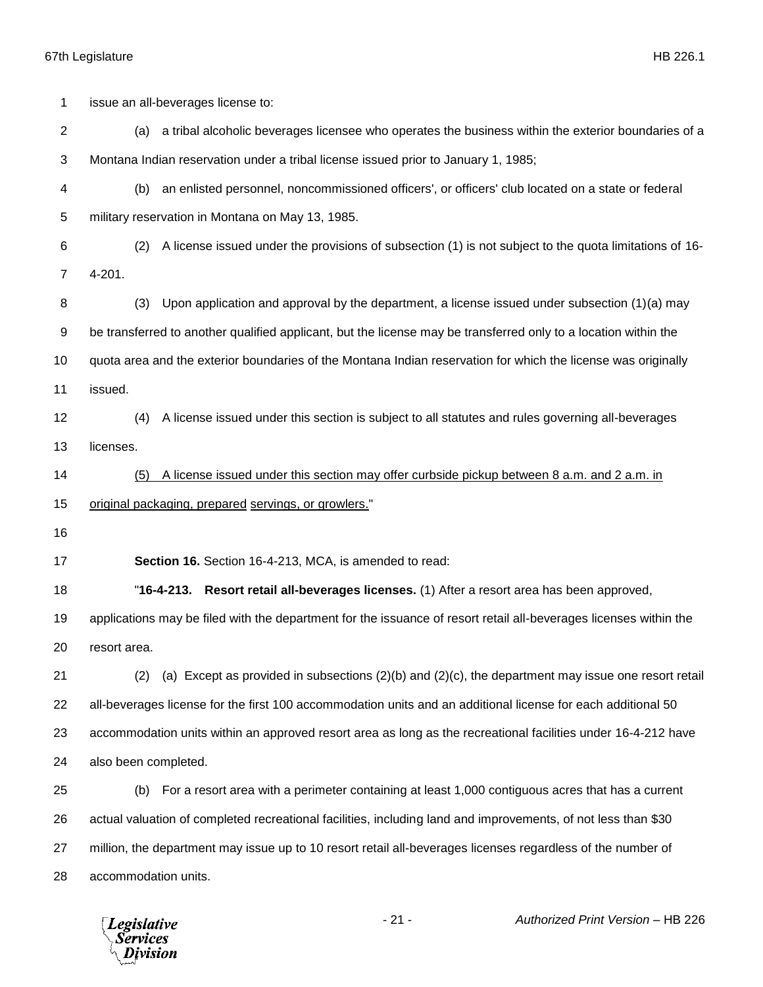| 1              | issue an all-beverages license to:                                                                                |
|----------------|-------------------------------------------------------------------------------------------------------------------|
| $\overline{c}$ | a tribal alcoholic beverages licensee who operates the business within the exterior boundaries of a<br>(a)        |
| 3              | Montana Indian reservation under a tribal license issued prior to January 1, 1985;                                |
| 4              | an enlisted personnel, noncommissioned officers', or officers' club located on a state or federal<br>(b)          |
| 5              | military reservation in Montana on May 13, 1985.                                                                  |
| 6              | A license issued under the provisions of subsection (1) is not subject to the quota limitations of 16-<br>(2)     |
| 7              | 4-201.                                                                                                            |
| 8              | (3)<br>Upon application and approval by the department, a license issued under subsection $(1)(a)$ may            |
| 9              | be transferred to another qualified applicant, but the license may be transferred only to a location within the   |
| 10             | quota area and the exterior boundaries of the Montana Indian reservation for which the license was originally     |
| 11             | issued.                                                                                                           |
| 12             | A license issued under this section is subject to all statutes and rules governing all-beverages<br>(4)           |
| 13             | licenses.                                                                                                         |
| 14             | A license issued under this section may offer curbside pickup between 8 a.m. and 2 a.m. in<br>(5)                 |
| 15             | original packaging, prepared servings, or growlers."                                                              |
| 16             |                                                                                                                   |
| 17             | Section 16. Section 16-4-213, MCA, is amended to read:                                                            |
| 18             | "16-4-213. Resort retail all-beverages licenses. (1) After a resort area has been approved,                       |
| 19             | applications may be filed with the department for the issuance of resort retail all-beverages licenses within the |
| 20             | resort area.                                                                                                      |
| 21             | (a) Except as provided in subsections $(2)(b)$ and $(2)(c)$ , the department may issue one resort retail<br>(2)   |
| 22             | all-beverages license for the first 100 accommodation units and an additional license for each additional 50      |
| 23             | accommodation units within an approved resort area as long as the recreational facilities under 16-4-212 have     |
| 24             | also been completed.                                                                                              |
| 25             | For a resort area with a perimeter containing at least 1,000 contiguous acres that has a current<br>(b)           |
| 26             | actual valuation of completed recreational facilities, including land and improvements, of not less than \$30     |
| 27             | million, the department may issue up to 10 resort retail all-beverages licenses regardless of the number of       |
| 28             | accommodation units.                                                                                              |
|                |                                                                                                                   |

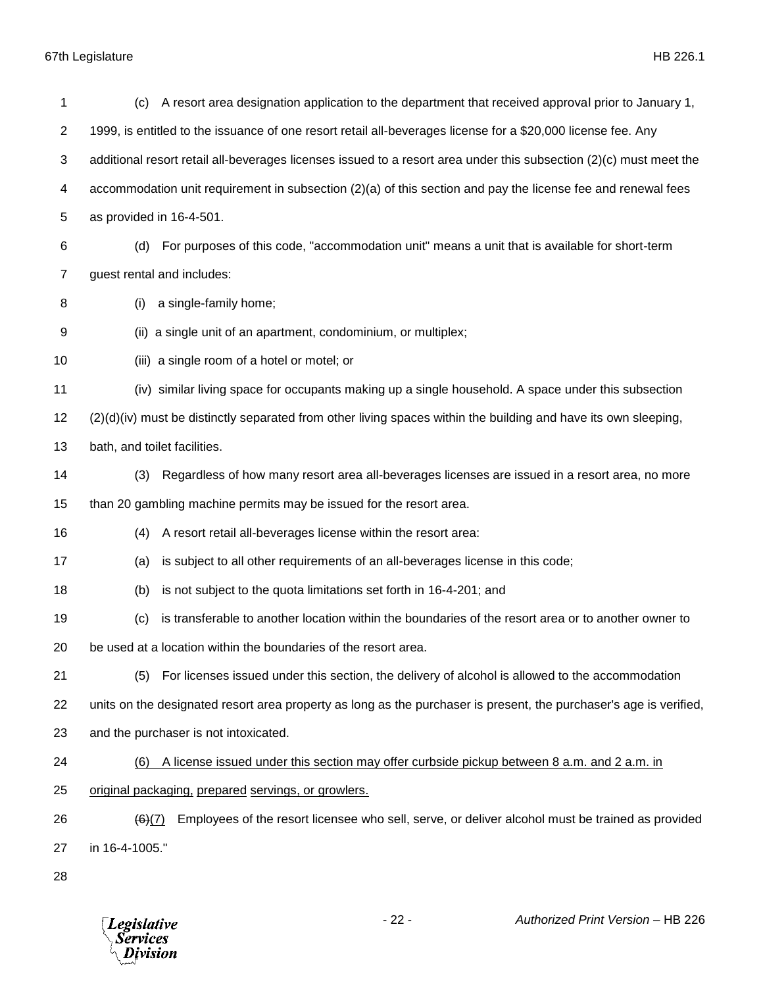| 1                       | A resort area designation application to the department that received approval prior to January 1,<br>(c)          |
|-------------------------|--------------------------------------------------------------------------------------------------------------------|
| $\overline{\mathbf{c}}$ | 1999, is entitled to the issuance of one resort retail all-beverages license for a \$20,000 license fee. Any       |
| 3                       | additional resort retail all-beverages licenses issued to a resort area under this subsection (2)(c) must meet the |
| 4                       | accommodation unit requirement in subsection $(2)(a)$ of this section and pay the license fee and renewal fees     |
| 5                       | as provided in 16-4-501.                                                                                           |
| 6                       | For purposes of this code, "accommodation unit" means a unit that is available for short-term<br>(d)               |
| $\overline{7}$          | guest rental and includes:                                                                                         |
| 8                       | a single-family home;<br>(i)                                                                                       |
| 9                       | (ii) a single unit of an apartment, condominium, or multiplex;                                                     |
| 10                      | (iii) a single room of a hotel or motel; or                                                                        |
| 11                      | (iv) similar living space for occupants making up a single household. A space under this subsection                |
| 12                      | $(2)(d)(iv)$ must be distinctly separated from other living spaces within the building and have its own sleeping,  |
| 13                      | bath, and toilet facilities.                                                                                       |
| 14                      | Regardless of how many resort area all-beverages licenses are issued in a resort area, no more<br>(3)              |
| 15                      | than 20 gambling machine permits may be issued for the resort area.                                                |
| 16                      | A resort retail all-beverages license within the resort area:<br>(4)                                               |
| 17                      | is subject to all other requirements of an all-beverages license in this code;<br>(a)                              |
| 18                      | is not subject to the quota limitations set forth in 16-4-201; and<br>(b)                                          |
| 19                      | is transferable to another location within the boundaries of the resort area or to another owner to<br>(c)         |
| 20                      | be used at a location within the boundaries of the resort area.                                                    |
| 21                      | For licenses issued under this section, the delivery of alcohol is allowed to the accommodation<br>(5)             |
| 22                      | units on the designated resort area property as long as the purchaser is present, the purchaser's age is verified, |
| 23                      | and the purchaser is not intoxicated.                                                                              |
| 24                      | A license issued under this section may offer curbside pickup between 8 a.m. and 2 a.m. in<br>(6)                  |
| 25                      | original packaging, prepared servings, or growlers.                                                                |
| 26                      | Employees of the resort licensee who sell, serve, or deliver alcohol must be trained as provided<br>(6)(7)         |
| 27                      | in 16-4-1005."                                                                                                     |
| 28                      |                                                                                                                    |

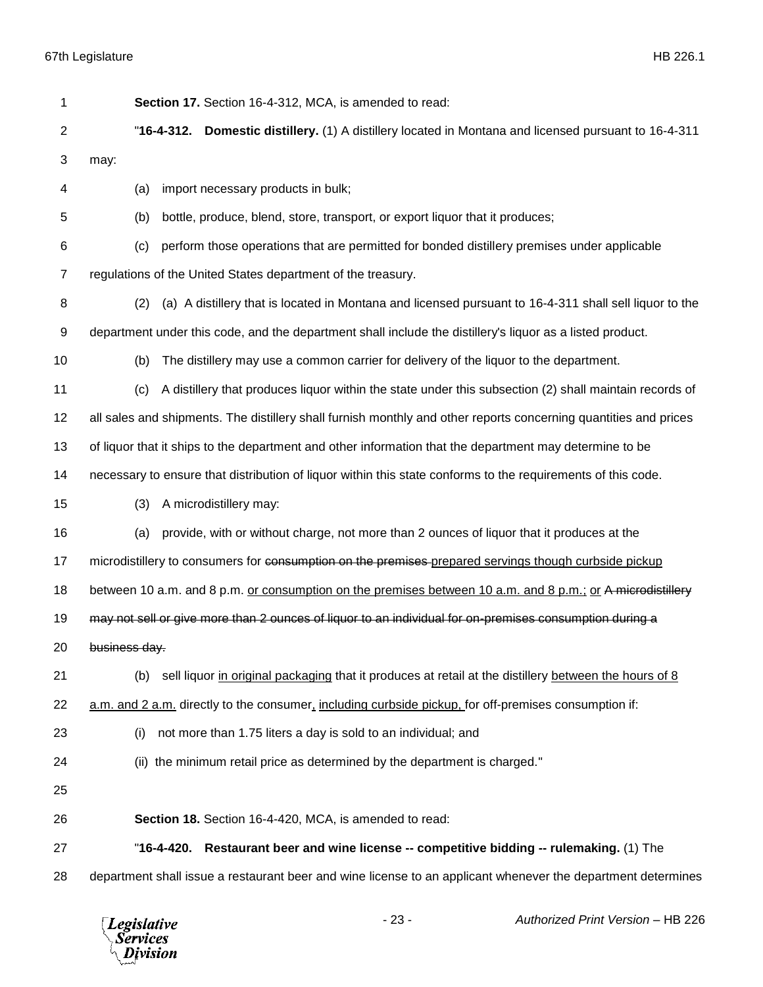| 1              | Section 17. Section 16-4-312, MCA, is amended to read:                                                           |
|----------------|------------------------------------------------------------------------------------------------------------------|
| $\overline{c}$ | <b>Domestic distillery.</b> (1) A distillery located in Montana and licensed pursuant to 16-4-311<br>"16-4-312.  |
| 3              | may:                                                                                                             |
| 4              | import necessary products in bulk;<br>(a)                                                                        |
| 5              | bottle, produce, blend, store, transport, or export liquor that it produces;<br>(b)                              |
| 6              | perform those operations that are permitted for bonded distillery premises under applicable<br>(c)               |
| 7              | regulations of the United States department of the treasury.                                                     |
| 8              | (a) A distillery that is located in Montana and licensed pursuant to 16-4-311 shall sell liquor to the<br>(2)    |
| 9              | department under this code, and the department shall include the distillery's liquor as a listed product.        |
| 10             | The distillery may use a common carrier for delivery of the liquor to the department.<br>(b)                     |
| 11             | A distillery that produces liquor within the state under this subsection (2) shall maintain records of<br>(c)    |
| 12             | all sales and shipments. The distillery shall furnish monthly and other reports concerning quantities and prices |
| 13             | of liquor that it ships to the department and other information that the department may determine to be          |
| 14             | necessary to ensure that distribution of liquor within this state conforms to the requirements of this code.     |
| 15             | A microdistillery may:<br>(3)                                                                                    |
| 16             | provide, with or without charge, not more than 2 ounces of liquor that it produces at the<br>(a)                 |
| 17             | microdistillery to consumers for consumption on the premises-prepared servings though curbside pickup            |
| 18             | between 10 a.m. and 8 p.m. or consumption on the premises between 10 a.m. and 8 p.m.; or A microdistillery       |
| 19             | may not sell or give more than 2 ounces of liquor to an individual for on-premises consumption during a          |
| 20             | business day.                                                                                                    |
| 21             | sell liquor in original packaging that it produces at retail at the distillery between the hours of 8<br>(b)     |
| 22             | a.m. and 2 a.m. directly to the consumer, including curbside pickup, for off-premises consumption if:            |
| 23             | not more than 1.75 liters a day is sold to an individual; and<br>(i)                                             |
| 24             | (ii) the minimum retail price as determined by the department is charged."                                       |
| 25             |                                                                                                                  |
| 26             | Section 18. Section 16-4-420, MCA, is amended to read:                                                           |
| 27             | "16-4-420. Restaurant beer and wine license -- competitive bidding -- rulemaking. (1) The                        |
| 28             | department shall issue a restaurant beer and wine license to an applicant whenever the department determines     |

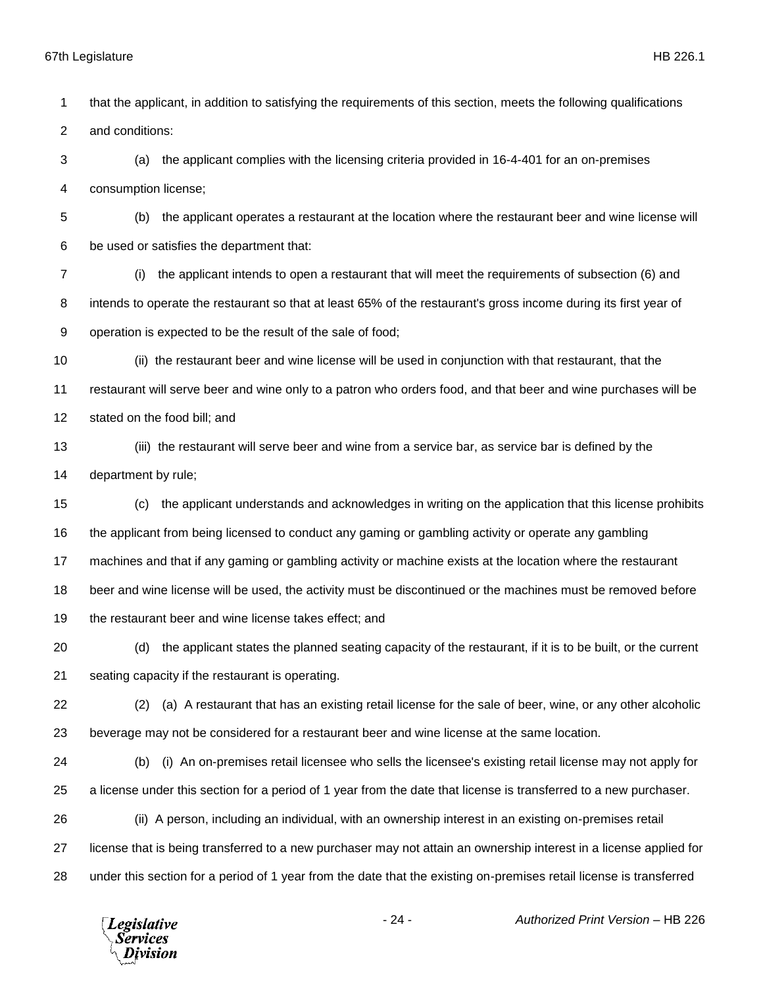that the applicant, in addition to satisfying the requirements of this section, meets the following qualifications and conditions: (a) the applicant complies with the licensing criteria provided in 16-4-401 for an on-premises consumption license; (b) the applicant operates a restaurant at the location where the restaurant beer and wine license will be used or satisfies the department that: (i) the applicant intends to open a restaurant that will meet the requirements of subsection (6) and 8 intends to operate the restaurant so that at least 65% of the restaurant's gross income during its first year of operation is expected to be the result of the sale of food; (ii) the restaurant beer and wine license will be used in conjunction with that restaurant, that the restaurant will serve beer and wine only to a patron who orders food, and that beer and wine purchases will be stated on the food bill; and (iii) the restaurant will serve beer and wine from a service bar, as service bar is defined by the department by rule; (c) the applicant understands and acknowledges in writing on the application that this license prohibits the applicant from being licensed to conduct any gaming or gambling activity or operate any gambling machines and that if any gaming or gambling activity or machine exists at the location where the restaurant

beer and wine license will be used, the activity must be discontinued or the machines must be removed before

19 the restaurant beer and wine license takes effect; and

 (d) the applicant states the planned seating capacity of the restaurant, if it is to be built, or the current seating capacity if the restaurant is operating.

- (2) (a) A restaurant that has an existing retail license for the sale of beer, wine, or any other alcoholic beverage may not be considered for a restaurant beer and wine license at the same location.
- (b) (i) An on-premises retail licensee who sells the licensee's existing retail license may not apply for a license under this section for a period of 1 year from the date that license is transferred to a new purchaser.

 (ii) A person, including an individual, with an ownership interest in an existing on-premises retail license that is being transferred to a new purchaser may not attain an ownership interest in a license applied for under this section for a period of 1 year from the date that the existing on-premises retail license is transferred

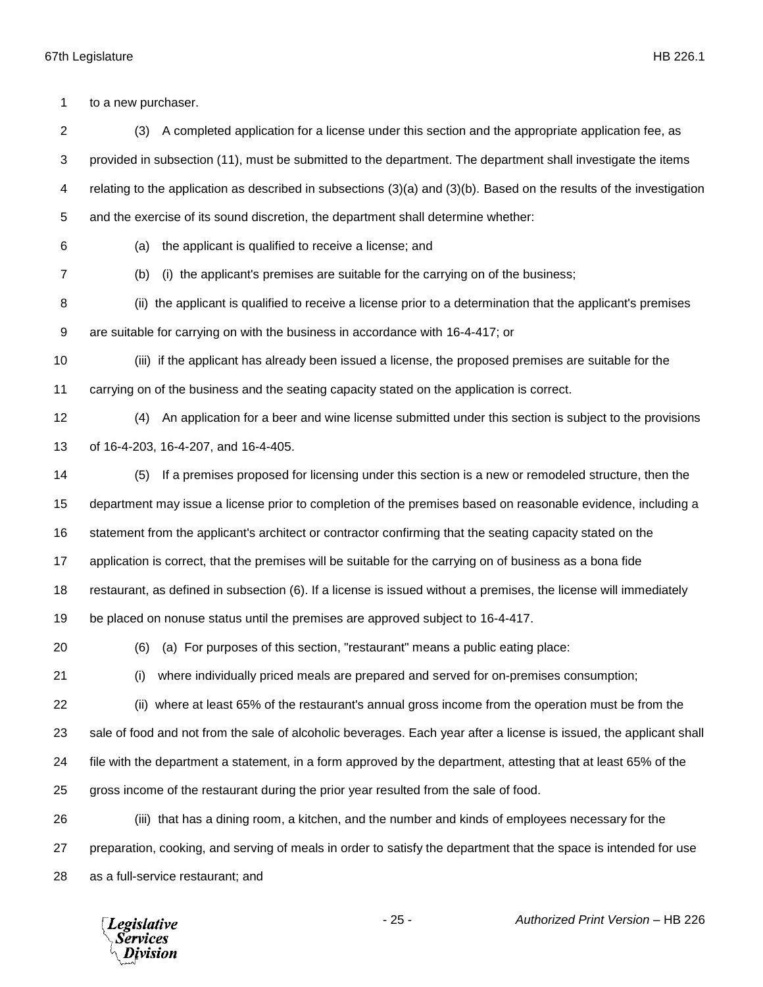to a new purchaser.

 (3) A completed application for a license under this section and the appropriate application fee, as provided in subsection (11), must be submitted to the department. The department shall investigate the items relating to the application as described in subsections (3)(a) and (3)(b). Based on the results of the investigation and the exercise of its sound discretion, the department shall determine whether:

(a) the applicant is qualified to receive a license; and

(b) (i) the applicant's premises are suitable for the carrying on of the business;

 (ii) the applicant is qualified to receive a license prior to a determination that the applicant's premises are suitable for carrying on with the business in accordance with 16-4-417; or

 (iii) if the applicant has already been issued a license, the proposed premises are suitable for the carrying on of the business and the seating capacity stated on the application is correct.

 (4) An application for a beer and wine license submitted under this section is subject to the provisions of 16-4-203, 16-4-207, and 16-4-405.

 (5) If a premises proposed for licensing under this section is a new or remodeled structure, then the department may issue a license prior to completion of the premises based on reasonable evidence, including a statement from the applicant's architect or contractor confirming that the seating capacity stated on the application is correct, that the premises will be suitable for the carrying on of business as a bona fide restaurant, as defined in subsection (6). If a license is issued without a premises, the license will immediately

be placed on nonuse status until the premises are approved subject to 16-4-417.

(6) (a) For purposes of this section, "restaurant" means a public eating place:

(i) where individually priced meals are prepared and served for on-premises consumption;

 (ii) where at least 65% of the restaurant's annual gross income from the operation must be from the sale of food and not from the sale of alcoholic beverages. Each year after a license is issued, the applicant shall file with the department a statement, in a form approved by the department, attesting that at least 65% of the gross income of the restaurant during the prior year resulted from the sale of food.

 (iii) that has a dining room, a kitchen, and the number and kinds of employees necessary for the preparation, cooking, and serving of meals in order to satisfy the department that the space is intended for use as a full-service restaurant; and

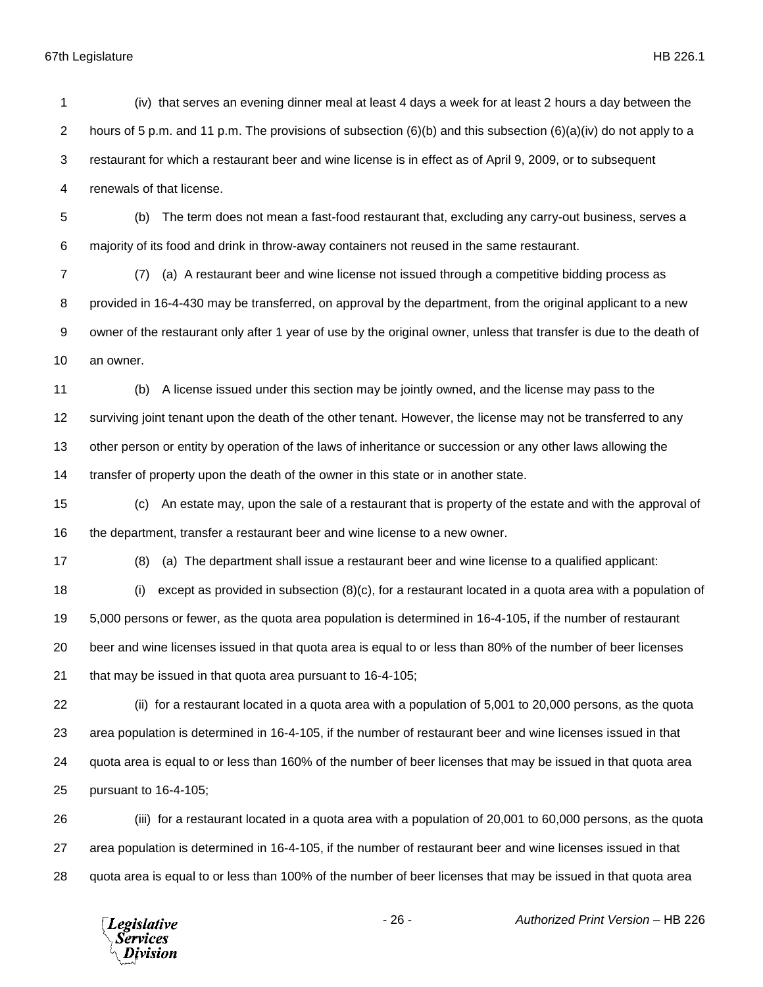(iv) that serves an evening dinner meal at least 4 days a week for at least 2 hours a day between the 2 hours of 5 p.m. and 11 p.m. The provisions of subsection (6)(b) and this subsection (6)(a)(iv) do not apply to a restaurant for which a restaurant beer and wine license is in effect as of April 9, 2009, or to subsequent renewals of that license. (b) The term does not mean a fast-food restaurant that, excluding any carry-out business, serves a majority of its food and drink in throw-away containers not reused in the same restaurant. (7) (a) A restaurant beer and wine license not issued through a competitive bidding process as

 provided in 16-4-430 may be transferred, on approval by the department, from the original applicant to a new owner of the restaurant only after 1 year of use by the original owner, unless that transfer is due to the death of an owner.

 (b) A license issued under this section may be jointly owned, and the license may pass to the surviving joint tenant upon the death of the other tenant. However, the license may not be transferred to any other person or entity by operation of the laws of inheritance or succession or any other laws allowing the transfer of property upon the death of the owner in this state or in another state.

 (c) An estate may, upon the sale of a restaurant that is property of the estate and with the approval of the department, transfer a restaurant beer and wine license to a new owner.

(8) (a) The department shall issue a restaurant beer and wine license to a qualified applicant:

 (i) except as provided in subsection (8)(c), for a restaurant located in a quota area with a population of 5,000 persons or fewer, as the quota area population is determined in 16-4-105, if the number of restaurant beer and wine licenses issued in that quota area is equal to or less than 80% of the number of beer licenses that may be issued in that quota area pursuant to 16-4-105;

 (ii) for a restaurant located in a quota area with a population of 5,001 to 20,000 persons, as the quota area population is determined in 16-4-105, if the number of restaurant beer and wine licenses issued in that quota area is equal to or less than 160% of the number of beer licenses that may be issued in that quota area pursuant to 16-4-105;

 (iii) for a restaurant located in a quota area with a population of 20,001 to 60,000 persons, as the quota area population is determined in 16-4-105, if the number of restaurant beer and wine licenses issued in that quota area is equal to or less than 100% of the number of beer licenses that may be issued in that quota area

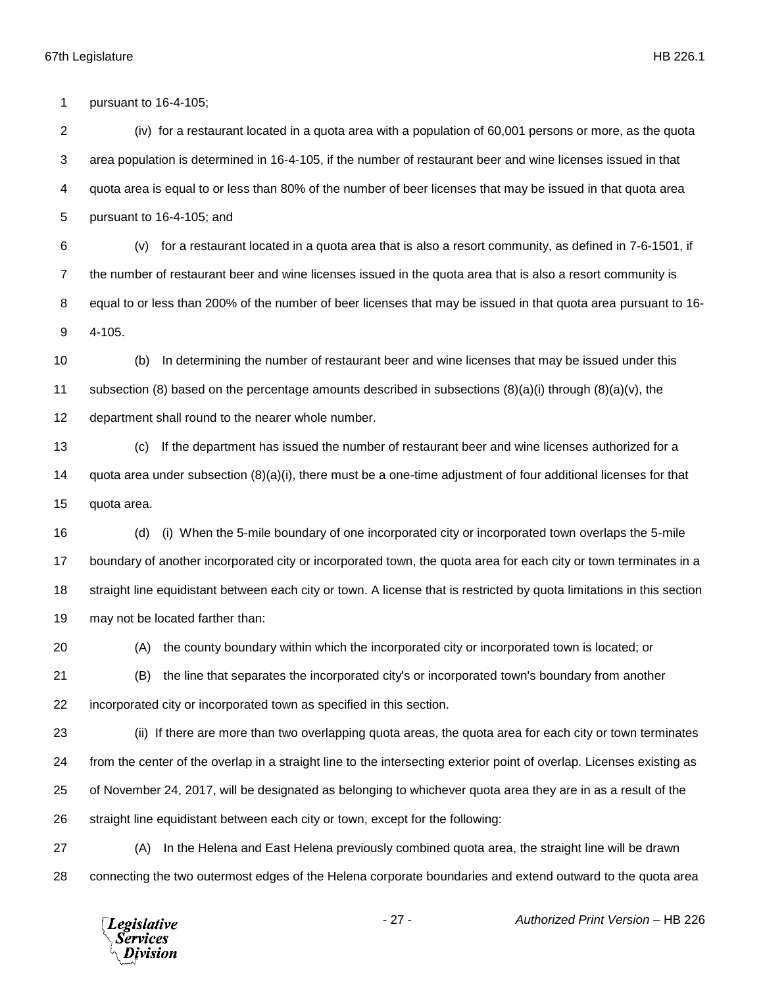pursuant to 16-4-105;

 (iv) for a restaurant located in a quota area with a population of 60,001 persons or more, as the quota area population is determined in 16-4-105, if the number of restaurant beer and wine licenses issued in that quota area is equal to or less than 80% of the number of beer licenses that may be issued in that quota area pursuant to 16-4-105; and

 (v) for a restaurant located in a quota area that is also a resort community, as defined in 7-6-1501, if the number of restaurant beer and wine licenses issued in the quota area that is also a resort community is equal to or less than 200% of the number of beer licenses that may be issued in that quota area pursuant to 16- 4-105.

 (b) In determining the number of restaurant beer and wine licenses that may be issued under this 11 subsection (8) based on the percentage amounts described in subsections  $(8)(a)(i)$  through  $(8)(a)(v)$ , the department shall round to the nearer whole number.

 (c) If the department has issued the number of restaurant beer and wine licenses authorized for a quota area under subsection (8)(a)(i), there must be a one-time adjustment of four additional licenses for that quota area.

 (d) (i) When the 5-mile boundary of one incorporated city or incorporated town overlaps the 5-mile boundary of another incorporated city or incorporated town, the quota area for each city or town terminates in a straight line equidistant between each city or town. A license that is restricted by quota limitations in this section may not be located farther than:

(A) the county boundary within which the incorporated city or incorporated town is located; or

 (B) the line that separates the incorporated city's or incorporated town's boundary from another incorporated city or incorporated town as specified in this section.

 (ii) If there are more than two overlapping quota areas, the quota area for each city or town terminates from the center of the overlap in a straight line to the intersecting exterior point of overlap. Licenses existing as of November 24, 2017, will be designated as belonging to whichever quota area they are in as a result of the straight line equidistant between each city or town, except for the following:

 (A) In the Helena and East Helena previously combined quota area, the straight line will be drawn connecting the two outermost edges of the Helena corporate boundaries and extend outward to the quota area

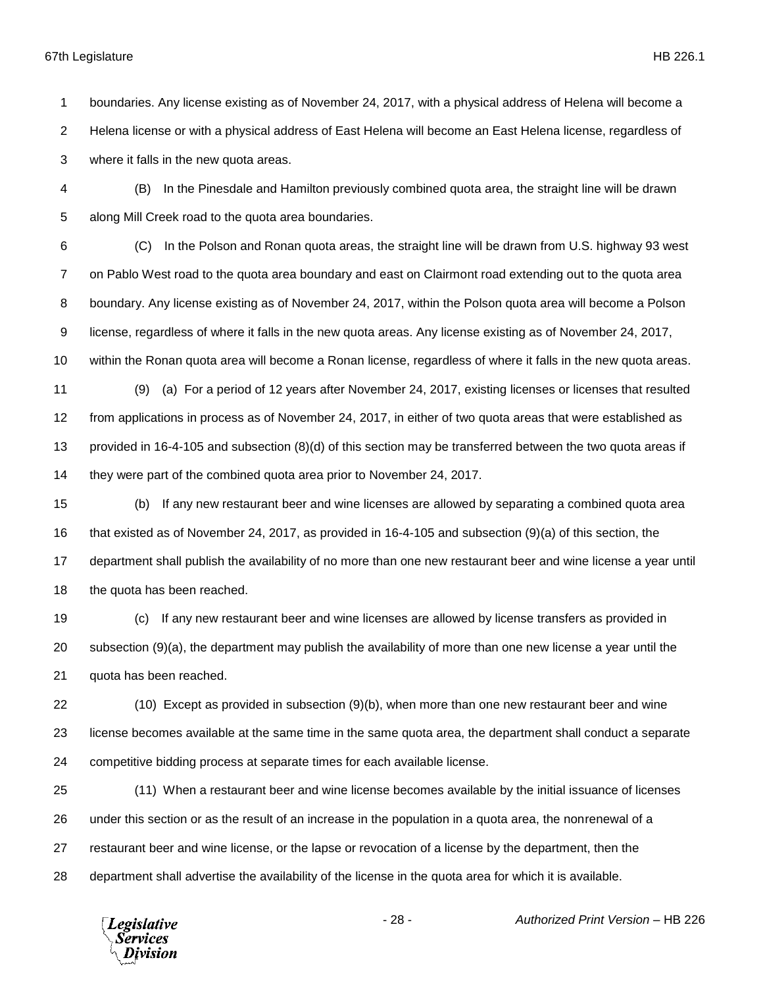boundaries. Any license existing as of November 24, 2017, with a physical address of Helena will become a Helena license or with a physical address of East Helena will become an East Helena license, regardless of where it falls in the new quota areas.

 (B) In the Pinesdale and Hamilton previously combined quota area, the straight line will be drawn along Mill Creek road to the quota area boundaries.

 (C) In the Polson and Ronan quota areas, the straight line will be drawn from U.S. highway 93 west on Pablo West road to the quota area boundary and east on Clairmont road extending out to the quota area boundary. Any license existing as of November 24, 2017, within the Polson quota area will become a Polson license, regardless of where it falls in the new quota areas. Any license existing as of November 24, 2017, within the Ronan quota area will become a Ronan license, regardless of where it falls in the new quota areas. (9) (a) For a period of 12 years after November 24, 2017, existing licenses or licenses that resulted from applications in process as of November 24, 2017, in either of two quota areas that were established as provided in 16-4-105 and subsection (8)(d) of this section may be transferred between the two quota areas if

they were part of the combined quota area prior to November 24, 2017.

 (b) If any new restaurant beer and wine licenses are allowed by separating a combined quota area that existed as of November 24, 2017, as provided in 16-4-105 and subsection (9)(a) of this section, the department shall publish the availability of no more than one new restaurant beer and wine license a year until 18 the quota has been reached.

 (c) If any new restaurant beer and wine licenses are allowed by license transfers as provided in subsection (9)(a), the department may publish the availability of more than one new license a year until the quota has been reached.

 (10) Except as provided in subsection (9)(b), when more than one new restaurant beer and wine license becomes available at the same time in the same quota area, the department shall conduct a separate competitive bidding process at separate times for each available license.

 (11) When a restaurant beer and wine license becomes available by the initial issuance of licenses under this section or as the result of an increase in the population in a quota area, the nonrenewal of a restaurant beer and wine license, or the lapse or revocation of a license by the department, then the department shall advertise the availability of the license in the quota area for which it is available.

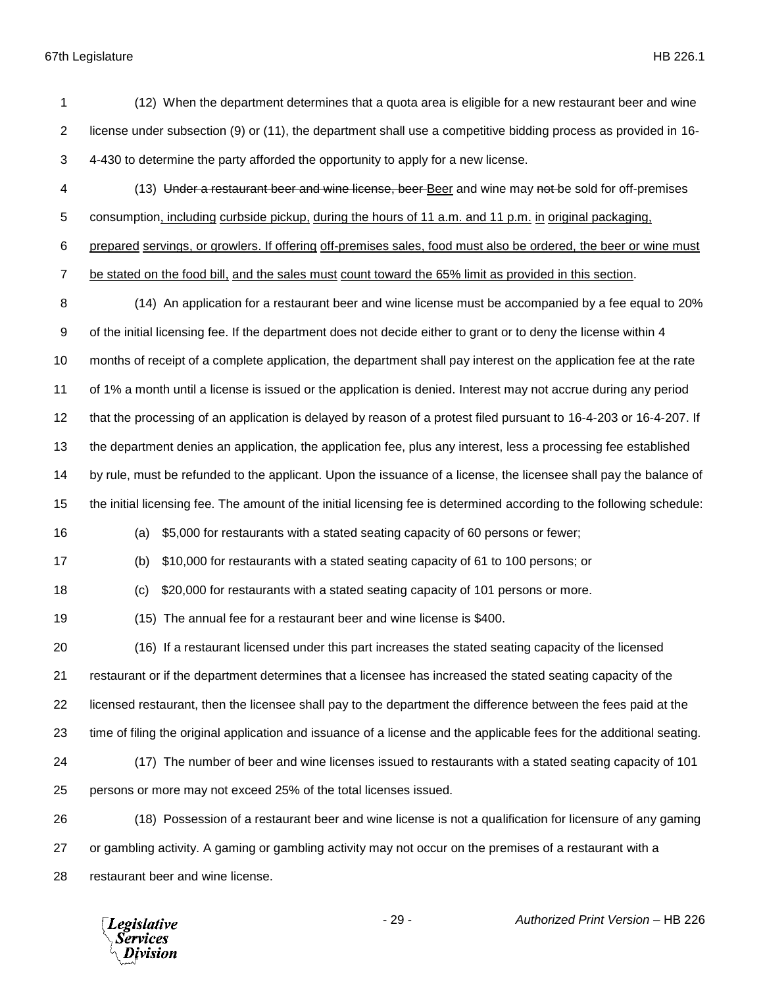| 1              | (12) When the department determines that a quota area is eligible for a new restaurant beer and wine                  |
|----------------|-----------------------------------------------------------------------------------------------------------------------|
| $\overline{2}$ | license under subsection (9) or (11), the department shall use a competitive bidding process as provided in 16-       |
| 3              | 4-430 to determine the party afforded the opportunity to apply for a new license.                                     |
| 4              | (13) Under a restaurant beer and wine license, beer Beer and wine may not be sold for off-premises                    |
| 5              | consumption, including curbside pickup, during the hours of 11 a.m. and 11 p.m. in original packaging,                |
| 6              | prepared servings, or growlers. If offering off-premises sales, food must also be ordered, the beer or wine must      |
| $\overline{7}$ | be stated on the food bill, and the sales must count toward the 65% limit as provided in this section.                |
| 8              | (14) An application for a restaurant beer and wine license must be accompanied by a fee equal to 20%                  |
| 9              | of the initial licensing fee. If the department does not decide either to grant or to deny the license within 4       |
| 10             | months of receipt of a complete application, the department shall pay interest on the application fee at the rate     |
| 11             | of 1% a month until a license is issued or the application is denied. Interest may not accrue during any period       |
| 12             | that the processing of an application is delayed by reason of a protest filed pursuant to 16-4-203 or 16-4-207. If    |
| 13             | the department denies an application, the application fee, plus any interest, less a processing fee established       |
| 14             | by rule, must be refunded to the applicant. Upon the issuance of a license, the licensee shall pay the balance of     |
| 15             | the initial licensing fee. The amount of the initial licensing fee is determined according to the following schedule: |
| 16             | \$5,000 for restaurants with a stated seating capacity of 60 persons or fewer;<br>(a)                                 |
| 17             | \$10,000 for restaurants with a stated seating capacity of 61 to 100 persons; or<br>(b)                               |
| 18             | \$20,000 for restaurants with a stated seating capacity of 101 persons or more.<br>(c)                                |
| 19             | (15) The annual fee for a restaurant beer and wine license is \$400.                                                  |
| 20             | (16) If a restaurant licensed under this part increases the stated seating capacity of the licensed                   |
| 21             | restaurant or if the department determines that a licensee has increased the stated seating capacity of the           |
| 22             | licensed restaurant, then the licensee shall pay to the department the difference between the fees paid at the        |
| 23             | time of filing the original application and issuance of a license and the applicable fees for the additional seating. |
| 24             | (17) The number of beer and wine licenses issued to restaurants with a stated seating capacity of 101                 |
| 25             | persons or more may not exceed 25% of the total licenses issued.                                                      |
| 26             | (18) Possession of a restaurant beer and wine license is not a qualification for licensure of any gaming              |
| 27             | or gambling activity. A gaming or gambling activity may not occur on the premises of a restaurant with a              |
| 28             | restaurant beer and wine license.                                                                                     |